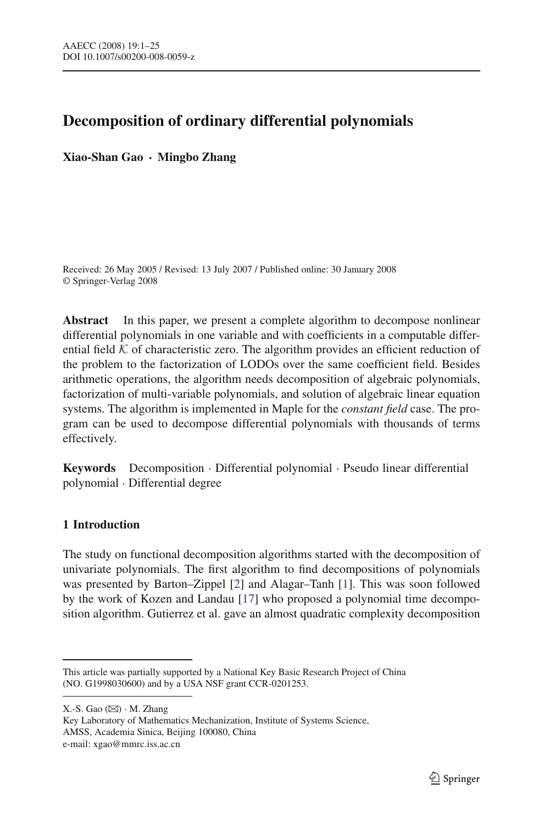# **Decomposition of ordinary differential polynomials**

**Xiao-Shan Gao · Mingbo Zhang**

Received: 26 May 2005 / Revised: 13 July 2007 / Published online: 30 January 2008 © Springer-Verlag 2008

**Abstract** In this paper, we present a complete algorithm to decompose nonlinear differential polynomials in one variable and with coefficients in a computable differential field  $K$  of characteristic zero. The algorithm provides an efficient reduction of the problem to the factorization of LODOs over the same coefficient field. Besides arithmetic operations, the algorithm needs decomposition of algebraic polynomials, factorization of multi-variable polynomials, and solution of algebraic linear equation systems. The algorithm is implemented in Maple for the *constant field* case. The program can be used to decompose differential polynomials with thousands of terms effectively.

**Keywords** Decomposition · Differential polynomial · Pseudo linear differential polynomial · Differential degree

# **1 Introduction**

The study on functional decomposition algorithms started with the decomposition of univariate polynomials. The first algorithm to find decompositions of polynomials was presented by Barton–Zippel [\[2](#page-23-0)] and Alagar–Tanh [\[1\]](#page-23-1). This was soon followed by the work of Kozen and Landau [\[17\]](#page-24-0) who proposed a polynomial time decomposition algorithm. Gutierrez et al. gave an almost quadratic complexity decomposition

 $X.-S.$  Gao  $(\boxtimes) \cdot M.$  Zhang

Key Laboratory of Mathematics Mechanization, Institute of Systems Science, AMSS, Academia Sinica, Beijing 100080, China e-mail: xgao@mmrc.iss.ac.cn

This article was partially supported by a National Key Basic Research Project of China (NO. G1998030600) and by a USA NSF grant CCR-0201253.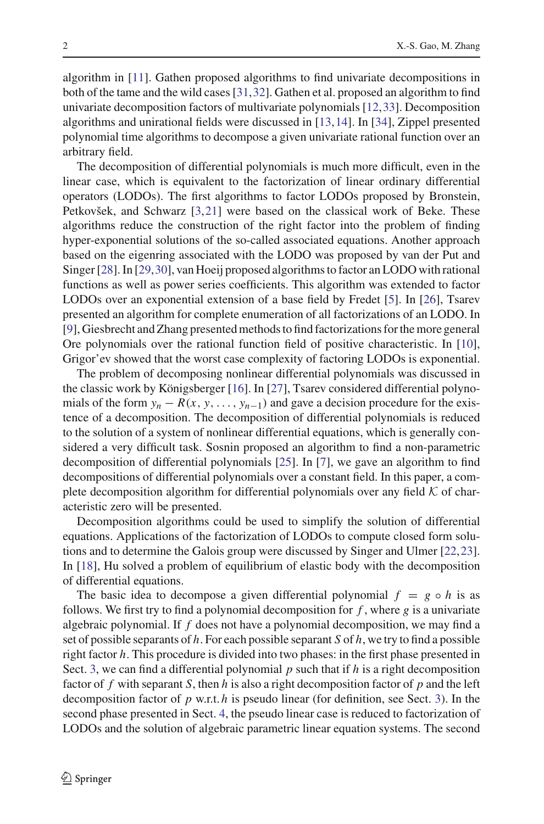algorithm in [\[11\]](#page-23-2). Gathen proposed algorithms to find univariate decompositions in both of the tame and the wild cases [\[31](#page-24-1)[,32](#page-24-2)]. Gathen et al. proposed an algorithm to find univariate decomposition factors of multivariate polynomials [\[12](#page-23-3)[,33](#page-24-3)]. Decomposition algorithms and unirational fields were discussed in [\[13](#page-23-4)[,14](#page-24-4)]. In [\[34](#page-24-5)], Zippel presented polynomial time algorithms to decompose a given univariate rational function over an arbitrary field.

The decomposition of differential polynomials is much more difficult, even in the linear case, which is equivalent to the factorization of linear ordinary differential operators (LODOs). The first algorithms to factor LODOs proposed by Bronstein, Petkovšek, and Schwarz [\[3,](#page-23-5)[21\]](#page-24-6) were based on the classical work of Beke. These algorithms reduce the construction of the right factor into the problem of finding hyper-exponential solutions of the so-called associated equations. Another approach based on the eigenring associated with the LODO was proposed by van der Put and Singer [\[28\]](#page-24-7). In [\[29](#page-24-8)[,30](#page-24-9)], van Hoeij proposed algorithms to factor an LODO with rational functions as well as power series coefficients. This algorithm was extended to factor LODOs over an exponential extension of a base field by Fredet [\[5\]](#page-23-6). In [\[26](#page-24-10)], Tsarev presented an algorithm for complete enumeration of all factorizations of an LODO. In [\[9](#page-23-7)], Giesbrecht and Zhang presented methods to find factorizations for the more general Ore polynomials over the rational function field of positive characteristic. In [\[10](#page-23-8)], Grigor'ev showed that the worst case complexity of factoring LODOs is exponential.

The problem of decomposing nonlinear differential polynomials was discussed in the classic work by Königsberger [\[16](#page-24-11)]. In [\[27\]](#page-24-12), Tsarev considered differential polynomials of the form  $y_n - R(x, y, \ldots, y_{n-1})$  and gave a decision procedure for the existence of a decomposition. The decomposition of differential polynomials is reduced to the solution of a system of nonlinear differential equations, which is generally considered a very difficult task. Sosnin proposed an algorithm to find a non-parametric decomposition of differential polynomials [\[25\]](#page-24-13). In [\[7\]](#page-23-9), we gave an algorithm to find decompositions of differential polynomials over a constant field. In this paper, a complete decomposition algorithm for differential polynomials over any field *K* of characteristic zero will be presented.

Decomposition algorithms could be used to simplify the solution of differential equations. Applications of the factorization of LODOs to compute closed form solutions and to determine the Galois group were discussed by Singer and Ulmer [\[22](#page-24-14)[,23](#page-24-15)]. In [\[18](#page-24-16)], Hu solved a problem of equilibrium of elastic body with the decomposition of differential equations.

The basic idea to decompose a given differential polynomial  $f = g \circ h$  is as follows. We first try to find a polynomial decomposition for  $f$ , where  $g$  is a univariate algebraic polynomial. If *f* does not have a polynomial decomposition, we may find a set of possible separants of *h*. For each possible separant *S* of *h*, we try to find a possible right factor *h*. This procedure is divided into two phases: in the first phase presented in Sect. [3,](#page-4-0) we can find a differential polynomial  $p$  such that if  $h$  is a right decomposition factor of *f* with separant *S*, then *h* is also a right decomposition factor of *p* and the left decomposition factor of *p* w.r.t. *h* is pseudo linear (for definition, see Sect. [3\)](#page-4-0). In the second phase presented in Sect. [4,](#page-8-0) the pseudo linear case is reduced to factorization of LODOs and the solution of algebraic parametric linear equation systems. The second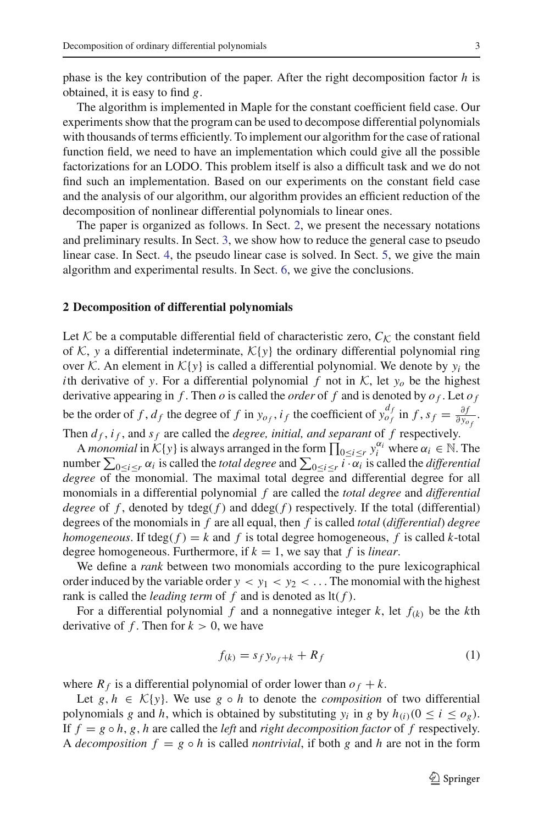phase is the key contribution of the paper. After the right decomposition factor *h* is obtained, it is easy to find *g*.

The algorithm is implemented in Maple for the constant coefficient field case. Our experiments show that the program can be used to decompose differential polynomials with thousands of terms efficiently. To implement our algorithm for the case of rational function field, we need to have an implementation which could give all the possible factorizations for an LODO. This problem itself is also a difficult task and we do not find such an implementation. Based on our experiments on the constant field case and the analysis of our algorithm, our algorithm provides an efficient reduction of the decomposition of nonlinear differential polynomials to linear ones.

The paper is organized as follows. In Sect. [2,](#page-2-0) we present the necessary notations and preliminary results. In Sect. [3,](#page-4-0) we show how to reduce the general case to pseudo linear case. In Sect. [4,](#page-8-0) the pseudo linear case is solved. In Sect. [5,](#page-20-0) we give the main algorithm and experimental results. In Sect. [6,](#page-23-10) we give the conclusions.

#### <span id="page-2-0"></span>**2 Decomposition of differential polynomials**

Let  $K$  be a computable differential field of characteristic zero,  $C_K$  the constant field of  $K$ , y a differential indeterminate,  $K\{y\}$  the ordinary differential polynomial ring over *K*. An element in  $K{y}$  is called a differential polynomial. We denote by  $y_i$  the *i*th derivative of *y*. For a differential polynomial *f* not in  $K$ , let  $y_0$  be the highest derivative appearing in  $f$ . Then  $o$  is called the *order* of  $f$  and is denoted by  $o_f$ . Let  $o_f$ be the order of f,  $d_f$  the degree of f in  $y_{o_f}$ ,  $i_f$  the coefficient of  $y_{o_f}^{df}$  in  $f$ ,  $s_f = \frac{\partial f}{\partial y_{o_f}}$ . Then  $d_f$ ,  $i_f$ , and  $s_f$  are called the *degree, initial, and separant* of  $f$  respectively.

A *monomial* in  $K\{y\}$  is always arranged in the form  $\prod_{0 \leq i \leq r} y_i^{\alpha_i}$  where  $\alpha_i \in \mathbb{N}$ . The number  $\sum_{0 \le i \le r} \alpha_i$  is called the *total degree* and  $\sum_{0 \le i \le r} i \cdot \alpha_i$  is called the *differential degree* of the monomial. The maximal total degree and differential degree for all monomials in a differential polynomial *f* are called the *total degree* and *differential degree* of f, denoted by  $deg(f)$  and  $ddeg(f)$  respectively. If the total (differential) degrees of the monomials in *f* are all equal, then *f* is called *total* (*differential*) *degree homogeneous*. If tdeg( $f$ ) =  $k$  and  $f$  is total degree homogeneous,  $f$  is called  $k$ -total degree homogeneous. Furthermore, if  $k = 1$ , we say that f is *linear*.

We define a *rank* between two monomials according to the pure lexicographical order induced by the variable order  $y < y_1 < y_2 < \dots$  The monomial with the highest rank is called the *leading term* of *f* and is denoted as lt( *f* ).

For a differential polynomial f and a nonnegative integer  $k$ , let  $f_{(k)}$  be the  $k$ th derivative of  $f$ . Then for  $k > 0$ , we have

<span id="page-2-1"></span>
$$
f(k) = s_f y_{of+k} + R_f \tag{1}
$$

where  $R_f$  is a differential polynomial of order lower than  $o_f + k$ .

Let  $g, h \in \mathcal{K}{y}$ . We use  $g \circ h$  to denote the *composition* of two differential polynomials *g* and *h*, which is obtained by substituting  $y_i$  in *g* by  $h_{(i)}$  ( $0 \le i \le o_g$ ). If  $f = g \circ h$ , *g*, *h* are called the *left* and *right decomposition factor* of *f* respectively. A *decomposition*  $f = g \circ h$  is called *nontrivial*, if both g and h are not in the form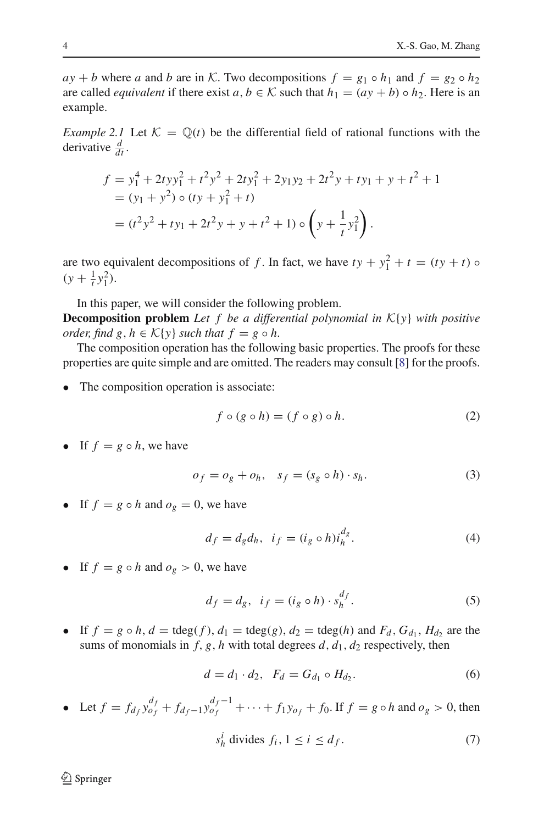$ay + b$  where *a* and *b* are in *K*. Two decompositions  $f = g_1 \circ h_1$  and  $f = g_2 \circ h_2$ are called *equivalent* if there exist  $a, b \in K$  such that  $h_1 = (ay + b) \circ h_2$ . Here is an example.

<span id="page-3-4"></span>*Example 2.1* Let  $K = \mathbb{Q}(t)$  be the differential field of rational functions with the derivative  $\frac{d}{dt}$ .

$$
f = y_1^4 + 2tyy_1^2 + t^2y^2 + 2ty_1^2 + 2y_1y_2 + 2t^2y + ty_1 + y + t^2 + 1
$$
  
=  $(y_1 + y^2) \circ (ty + y_1^2 + t)$   
=  $(t^2y^2 + ty_1 + 2t^2y + y + t^2 + 1) \circ \left(y + \frac{1}{t}y_1^2\right).$ 

are two equivalent decompositions of *f*. In fact, we have  $ty + y_1^2 + t = (ty + t) \circ$  $(y + \frac{1}{t}y_1^2).$ 

In this paper, we will consider the following problem.

**Decomposition problem** *Let f be a differential polynomial in K*{*y*} *with positive order, find g, h*  $\in$   $K\{y\}$  *such that*  $f = g \circ h$ .

The composition operation has the following basic properties. The proofs for these properties are quite simple and are omitted. The readers may consult [\[8](#page-23-11)] for the proofs.

The composition operation is associate:

<span id="page-3-0"></span>
$$
f \circ (g \circ h) = (f \circ g) \circ h. \tag{2}
$$

<span id="page-3-1"></span>• If  $f = g \circ h$ , we have

<span id="page-3-2"></span>
$$
o_f = o_g + o_h, \quad s_f = (s_g \circ h) \cdot s_h. \tag{3}
$$

• If  $f = g \circ h$  and  $o_g = 0$ , we have

$$
d_f = d_g d_h, \quad i_f = (i_g \circ h)i_h^{d_g}.\tag{4}
$$

• If  $f = g \circ h$  and  $o_g > 0$ , we have

<span id="page-3-3"></span>
$$
d_f = d_g, \ \ i_f = (i_g \circ h) \cdot s_h^{d_f}.\tag{5}
$$

• If  $f = g \circ h$ ,  $d = \text{tdeg}(f)$ ,  $d_1 = \text{tdeg}(g)$ ,  $d_2 = \text{tdeg}(h)$  and  $F_d$ ,  $G_{d_1}$ ,  $H_{d_2}$  are the sums of monomials in  $f$ ,  $g$ ,  $h$  with total degrees  $d$ ,  $d_1$ ,  $d_2$  respectively, then

<span id="page-3-6"></span>
$$
d = d_1 \cdot d_2, \ \ F_d = G_{d_1} \circ H_{d_2}.
$$
 (6)

• Let  $f = f_{d_f} y_{o_f}^{d_f} + f_{d_f-1} y_{o_f}^{d_f-1} + \cdots + f_1 y_{o_f} + f_0$ . If  $f = g \circ h$  and  $o_g > 0$ , then

<span id="page-3-5"></span>
$$
s_h^i \text{ divides } f_i, 1 \le i \le d_f. \tag{7}
$$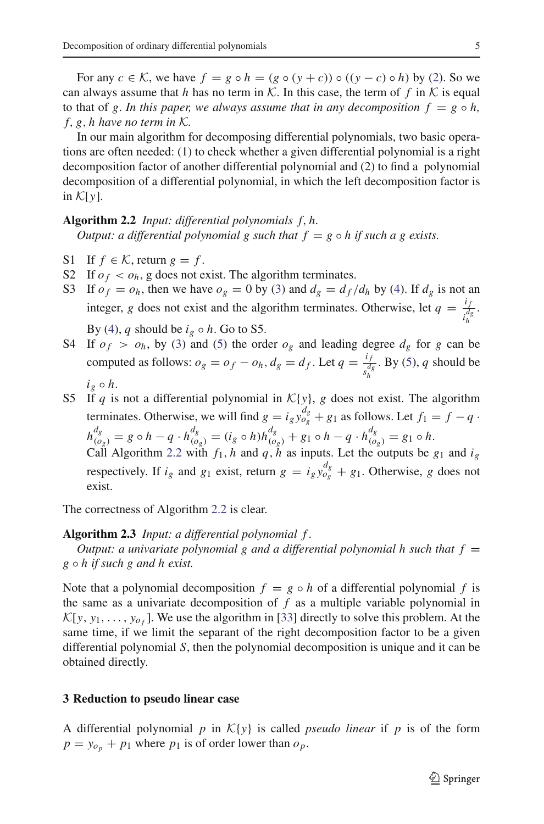For any  $c \in \mathcal{K}$ , we have  $f = g \circ h = (g \circ (y + c)) \circ ((y - c) \circ h)$  by [\(2\)](#page-3-0). So we can always assume that *h* has no term in *K*. In this case, the term of f in K is equal to that of *g*. In this paper, we always assume that in any decomposition  $f = g \circ h$ , *f*, *g*, *h have no term in K.*

In our main algorithm for decomposing differential polynomials, two basic operations are often needed: (1) to check whether a given differential polynomial is a right decomposition factor of another differential polynomial and (2) to find a polynomial decomposition of a differential polynomial, in which the left decomposition factor is in  $\mathcal{K}[\nu]$ .

# <span id="page-4-1"></span>**Algorithm 2.2** *Input: differential polynomials f*, *h.*

*Output: a differential polynomial g such that*  $f = g \circ h$  *if such a g exists.* 

- S1 If  $f \in \mathcal{K}$ , return  $g = f$ .
- S2 If  $o_f < o_h$ , g does not exist. The algorithm terminates.
- S3 If  $o_f = o_h$ , then we have  $o_g = 0$  by [\(3\)](#page-3-1) and  $d_g = d_f/d_h$  by [\(4\)](#page-3-2). If  $d_g$  is not an integer, *g* does not exist and the algorithm terminates. Otherwise, let  $q = \frac{i_f}{i_b^q}$ . *h* By [\(4\)](#page-3-2), *q* should be  $i_g \circ h$ . Go to S5.
- S4 If  $o_f > o_h$ , by [\(3\)](#page-3-1) and [\(5\)](#page-3-3) the order  $o_g$  and leading degree  $d_g$  for g can be computed as follows:  $o_g = o_f - o_h$ ,  $d_g = d_f$ . Let  $q = \frac{i_f}{s_h^d}$ . By [\(5\)](#page-3-3), *q* should be  $i_g \circ h$ .
- S5 If *q* is not a differential polynomial in  $K{y}$ , *g* does not exist. The algorithm terminates. Otherwise, we will find  $g = i_g y_{o_g}^{d_g} + g_1$  as follows. Let  $f_1 = f - q$ .  $h_{(o_g)}^{d_g} = g \circ h - q \cdot h_{(o_g)}^{d_g} = (i_g \circ h)h_{(o_g)}^{d_g} + g_1 \circ h - q \cdot h_{(o_g)}^{d_g} = g_1 \circ h.$ Call Algorithm [2.2](#page-4-1) with  $f_1$ , *h* and  $q$ ,  $h$  as inputs. Let the outputs be  $g_1$  and  $i_g$

respectively. If  $i_g$  and  $g_1$  exist, return  $g = i_g y_{og}^{d_g} + g_1$ . Otherwise, g does not exist.

<span id="page-4-2"></span>The correctness of Algorithm [2.2](#page-4-1) is clear.

#### **Algorithm 2.3** *Input: a differential polynomial f .*

*Output: a univariate polynomial g and a differential polynomial h such that f*  $=$ *g* ◦ *h if such g and h exist.*

Note that a polynomial decomposition  $f = g \circ h$  of a differential polynomial f is the same as a univariate decomposition of  $f$  as a multiple variable polynomial in  $\mathcal{K}[y, y_1, \ldots, y_{\sigma_f}]$ . We use the algorithm in [\[33\]](#page-24-3) directly to solve this problem. At the same time, if we limit the separant of the right decomposition factor to be a given differential polynomial *S*, then the polynomial decomposition is unique and it can be obtained directly.

# <span id="page-4-0"></span>**3 Reduction to pseudo linear case**

A differential polynomial  $p$  in  $\mathcal{K}{y}$  is called *pseudo linear* if  $p$  is of the form  $p = y_{o_p} + p_1$  where  $p_1$  is of order lower than  $o_p$ .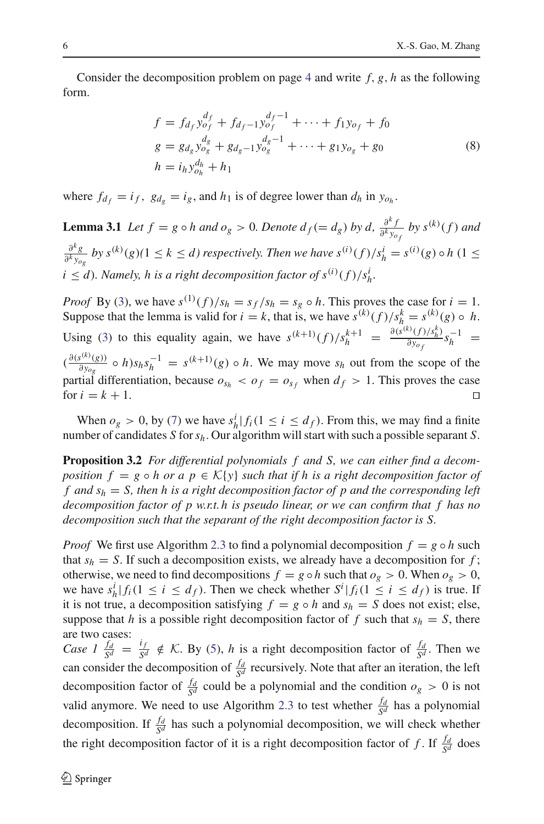<span id="page-5-1"></span>Consider the decomposition problem on page [4](#page-3-4) and write *f*, *g*, *h* as the following form.

$$
f = f_{d_f} y_{o_f}^{d_f} + f_{d_f-1} y_{o_f}^{d_f-1} + \dots + f_1 y_{o_f} + f_0
$$
  
\n
$$
g = g_{d_g} y_{o_g}^{d_g} + g_{d_g-1} y_{o_g}^{d_g-1} + \dots + g_1 y_{o_g} + g_0
$$
  
\n
$$
h = i_h y_{o_h}^{d_h} + h_1
$$
\n(8)

<span id="page-5-0"></span>where  $f_{d_f} = i_f$ ,  $g_{d_g} = i_g$ , and  $h_1$  is of degree lower than  $d_h$  in  $y_{o_h}$ .

**Lemma 3.1** *Let*  $f = g \circ h$  *and*  $o_g > 0$ *. Denote*  $d_f (= d_g)$  *by*  $d$ *,*  $\frac{\partial^k f}{\partial^k y_{o_f}}$  *by*  $s^{(k)}(f)$  *and* ∂*<sup>k</sup> g*  $\frac{\partial^k g}{\partial^k y_{og}}$  by  $s^{(k)}(g)$  (1  $\leq k \leq d$ ) respectively. Then we have  $s^{(i)}(f)/s_h^i = s^{(i)}(g) \circ h$  (1  $\leq$  $i \leq d$ ). Namely, h is a right decomposition factor of  $s^{(i)}(f)/s_h^i$ .

*Proof* By [\(3\)](#page-3-1), we have  $s^{(1)}(f)/s_h = s_f/s_h = s_g \circ h$ . This proves the case for  $i = 1$ . Suppose that the lemma is valid for  $i = k$ , that is, we have  $s^{(k)}(f)/s_h^k = s^{(k)}(g) \circ h$ . Using [\(3\)](#page-3-1) to this equality again, we have  $s^{(k+1)}(f)/s_h^{k+1} = \frac{\partial(s^{(k)}(f)/s_h^k)}{\partial y_{\varphi_f}}$  $\frac{\partial^3 (f)/S_h^2}{\partial y_{\sigma_f}} s_h^{-1}$  =  $(\frac{\partial (s^{(k)}(g))}{\partial y_{og}} \circ h) s_h s_h^{-1} = s^{(k+1)}(g) \circ h$ . We may move  $s_h$  out from the scope of the

partial differentiation, because  $o_{s_h} < o_f = o_{s_f}$  when  $d_f > 1$ . This proves the case for  $i = k + 1$ .

<span id="page-5-2"></span>When  $o_g > 0$ , by [\(7\)](#page-3-5) we have  $s_h^i | f_i (1 \le i \le d_f)$ . From this, we may find a finite number of candidates *S* for*sh*. Our algorithm will start with such a possible separant *S*.

**Proposition 3.2** *For differential polynomials f and S, we can either find a decomposition*  $f = g \circ h$  *or a*  $p \in \mathcal{K}{y}$  *such that if h is a right decomposition factor of f and sh* = *S, then h is a right decomposition factor of p and the corresponding left decomposition factor of p w.r.t. h is pseudo linear, or we can confirm that f has no decomposition such that the separant of the right decomposition factor is S.*

*Proof* We first use Algorithm [2.3](#page-4-2) to find a polynomial decomposition  $f = g \circ h$  such that  $s_h = S$ . If such a decomposition exists, we already have a decomposition for  $f$ ; otherwise, we need to find decompositions  $f = g \circ h$  such that  $o_g > 0$ . When  $o_g > 0$ , we have  $s_h^i | f_i (1 \le i \le d_f)$ . Then we check whether  $S^i | f_i (1 \le i \le d_f)$  is true. If it is not true, a decomposition satisfying  $f = g \circ h$  and  $s_h = S$  does not exist; else, suppose that *h* is a possible right decomposition factor of f such that  $s_h = S$ , there are two cases:

*Case 1*  $\frac{f_d}{S^d} = \frac{i_f}{S^d} \notin K$ . By [\(5\)](#page-3-3), *h* is a right decomposition factor of  $\frac{f_d}{S^d}$ . Then we can consider the decomposition of  $\frac{f_d}{S^d}$  recursively. Note that after an iteration, the left decomposition factor of  $\frac{f_d}{S^d}$  could be a polynomial and the condition  $o_g > 0$  is not valid anymore. We need to use Algorithm [2.3](#page-4-2) to test whether  $\frac{f_d}{S^d}$  has a polynomial decomposition. If  $\frac{f_d}{S^d}$  has such a polynomial decomposition, we will check whether the right decomposition factor of it is a right decomposition factor of *f*. If  $\frac{fd}{S^d}$  does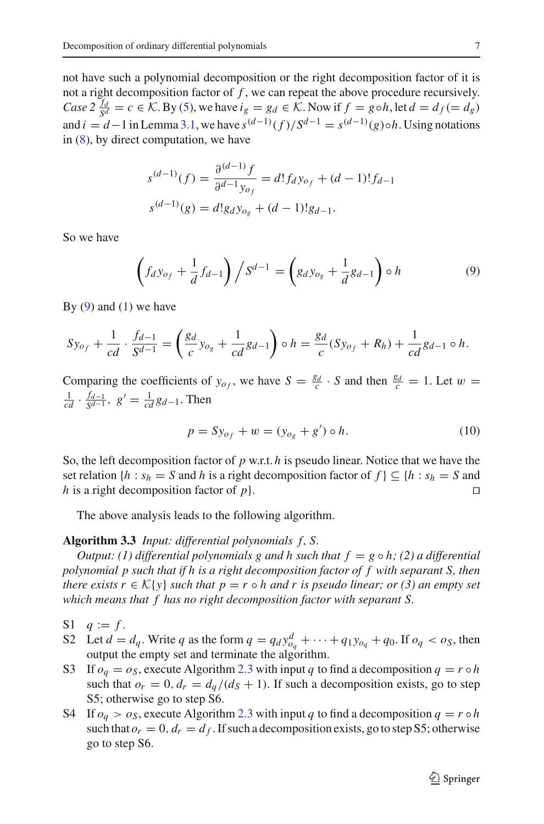not have such a polynomial decomposition or the right decomposition factor of it is not a right decomposition factor of *f* , we can repeat the above procedure recursively. *Case*  $2 \frac{f_d}{s^d} = c \in \mathcal{K}$ . By [\(5\)](#page-3-3), we have  $i_g = g_d \in \mathcal{K}$ . Now if  $f = g \circ h$ , let  $d = d_f (= d_g)$ and  $i = d-1$  in Lemma [3.1,](#page-5-0) we have  $s^{(d-1)}(f)/S^{d-1} = s^{(d-1)}(g) \circ h$ . Using notations in [\(8\)](#page-5-1), by direct computation, we have

$$
s^{(d-1)}(f) = \frac{\partial^{(d-1)} f}{\partial^{d-1} y_{of}} = d! f_d y_{of} + (d-1)! f_{d-1}
$$
  

$$
s^{(d-1)}(g) = d! g_d y_{og} + (d-1)! g_{d-1}.
$$

<span id="page-6-0"></span>So we have

$$
\left(f_{d}y_{o_{f}} + \frac{1}{d}f_{d-1}\right) / S^{d-1} = \left(g_{d}y_{o_{g}} + \frac{1}{d}g_{d-1}\right) \circ h \tag{9}
$$

By  $(9)$  and  $(1)$  we have

$$
Sy_{o_f} + \frac{1}{cd} \cdot \frac{f_{d-1}}{S^{d-1}} = \left(\frac{g_d}{c}y_{o_g} + \frac{1}{cd}g_{d-1}\right) \circ h = \frac{g_d}{c}(Sy_{o_f} + R_h) + \frac{1}{cd}g_{d-1} \circ h.
$$

Comparing the coefficients of  $y_{o_f}$ , we have  $S = \frac{g_d}{c} \cdot S$  and then  $\frac{g_d}{c} = 1$ . Let  $w =$  $\frac{1}{cd} \cdot \frac{f_{d-1}}{S^{d-1}}, \ g' = \frac{1}{cd} g_{d-1}.$  Then

$$
p = S y_{o_f} + w = (y_{o_g} + g') \circ h. \tag{10}
$$

So, the left decomposition factor of *p* w.r.t. *h* is pseudo linear. Notice that we have the set relation {*h* :  $s_h = S$  and *h* is a right decomposition factor of  $f$ }  $\subseteq$  {*h* :  $s_h = S$  and *h* is a right decomposition factor of *p*}.

The above analysis leads to the following algorithm.

## <span id="page-6-1"></span>**Algorithm 3.3** *Input: differential polynomials f*, *S.*

*Output: (1) differential polynomials g and h such that*  $f = g \circ h$ *; (2) a differential polynomial p such that if h is a right decomposition factor of f with separant S, then there exists r*  $\in K\{y\}$  *such that p* = *r*  $\circ$  *h and r is pseudo linear; or (3) an empty set which means that f has no right decomposition factor with separant S.*

- S1  $q := f$ .
- S2 Let  $d = d_q$ . Write  $q$  as the form  $q = q_d y_{o_q}^d + \cdots + q_1 y_{o_q} + q_0$ . If  $o_q < o_S$ , then output the empty set and terminate the algorithm.
- S3 If  $o_q = o_s$ , execute Algorithm [2.3](#page-4-2) with input *q* to find a decomposition  $q = r \circ h$ such that  $o_r = 0$ ,  $d_r = d_q/(d_s + 1)$ . If such a decomposition exists, go to step S5; otherwise go to step S6.
- S4 If  $o_q > o_s$ , execute Algorithm [2.3](#page-4-2) with input *q* to find a decomposition  $q = r \circ h$ such that  $o_r = 0$ ,  $d_r = d_f$ . If such a decomposition exists, go to step S5; otherwise go to step S6.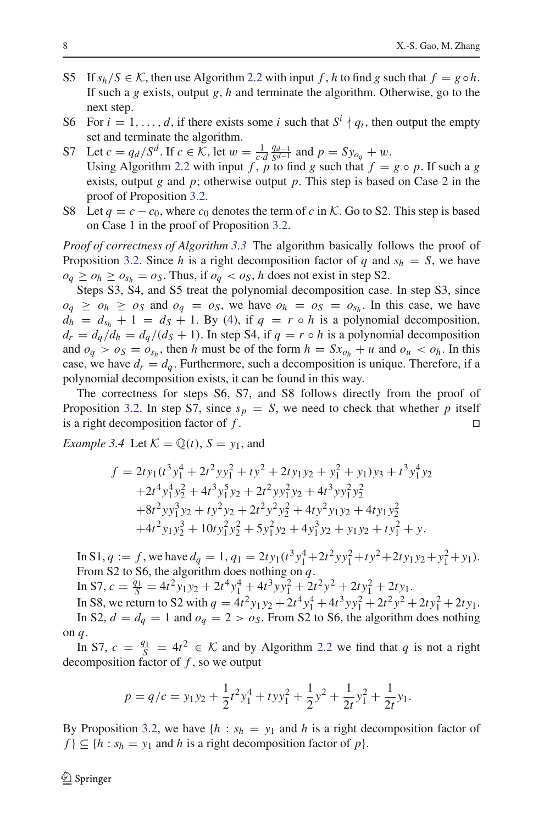- S5 If  $s_h/S \in \mathcal{K}$ , then use Algorithm [2.2](#page-4-1) with input f, h to find g such that  $f = g \circ h$ . If such a *g* exists, output *g*, *h* and terminate the algorithm. Otherwise, go to the next step.
- S6 For  $i = 1, ..., d$ , if there exists some *i* such that  $S^i \nmid q_i$ , then output the empty set and terminate the algorithm.
- S7 Let  $c = q_d / S^d$ . If  $c \in K$ , let  $w = \frac{1}{c \cdot d} \frac{q_{d-1}}{S^{d-1}}$  and  $p = Sy_{o_q} + w$ . Using Algorithm [2.2](#page-4-1) with input *f*, *p* to find *g* such that  $f = g \circ p$ . If such a *g* exists, output *g* and *p*; otherwise output *p*. This step is based on Case 2 in the proof of Proposition [3.2.](#page-5-2)
- S8 Let  $q = c c_0$ , where  $c_0$  denotes the term of c in K. Go to S2. This step is based on Case 1 in the proof of Proposition [3.2.](#page-5-2)

*Proof of correctness of Algorithm [3.3](#page-6-1)* The algorithm basically follows the proof of Proposition [3.2.](#page-5-2) Since *h* is a right decomposition factor of *q* and  $s_h = S$ , we have  $o_q \geq o_h \geq o_{s_h} = o_S$ . Thus, if  $o_q < o_S$ , *h* does not exist in step S2.

Steps S3, S4, and S5 treat the polynomial decomposition case. In step S3, since  $o_q \geq o_h \geq o_S$  and  $o_q = o_S$ , we have  $o_h = o_S = o_{S_h}$ . In this case, we have  $d_h = d_{s_h} + 1 = d_s + 1$ . By [\(4\)](#page-3-2), if  $q = r \circ h$  is a polynomial decomposition,  $d_r = d_q/d_h = d_q/(d_s + 1)$ . In step S4, if  $q = r \circ h$  is a polynomial decomposition and  $o_q > o_s = o_{s_h}$ , then *h* must be of the form  $h = Sx_{o_h} + u$  and  $o_u < o_h$ . In this case, we have  $d_r = d_q$ . Furthermore, such a decomposition is unique. Therefore, if a polynomial decomposition exists, it can be found in this way.

The correctness for steps S6, S7, and S8 follows directly from the proof of Proposition [3.2.](#page-5-2) In step S7, since  $s_p = S$ , we need to check that whether p itself is a right decomposition factor of  $f$ .

<span id="page-7-0"></span>*Example 3.4* Let  $K = \mathbb{Q}(t)$ ,  $S = y_1$ , and

$$
f = 2ty_1(t^3y_1^4 + 2t^2yy_1^2 + ty^2 + 2ty_1y_2 + y_1^2 + y_1)y_3 + t^3y_1^4y_2
$$
  
+2t<sup>4</sup>y<sub>1</sub><sup>4</sup>y<sub>2</sub><sup>2</sup> + 4t<sup>3</sup>y<sub>1</sub><sup>5</sup>y<sub>2</sub> + 2t<sup>2</sup>yy<sub>1</sub><sup>2</sup>y<sub>2</sub> + 4t<sup>3</sup>yy<sub>1</sub><sup>2</sup>y<sub>2</sub><sup>2</sup>  
+8t<sup>2</sup>yy<sub>1</sub><sup>3</sup>y<sub>2</sub> + ty<sup>2</sup>y<sub>2</sub> + 2t<sup>2</sup>y<sub>2</sub><sup>2</sup>y<sub>2</sub><sup>2</sup> + 4ty<sub>2</sub><sup>2</sup>y<sub>1</sub>y<sub>2</sub> + 4ty<sub>1</sub>y<sub>2</sub><sup>2</sup>  
+4t<sup>2</sup>y<sub>1</sub>y<sub>2</sub><sup>3</sup> + 10ty<sub>1</sub><sup>2</sup>y<sub>2</sub><sup>2</sup> + 5y<sub>1</sub><sup>2</sup>y<sub>2</sub> + 4y<sub>1</sub><sup>3</sup>y<sub>2</sub> + y<sub>1</sub>y<sub>2</sub> + ty<sub>1</sub><sup>2</sup> + y.

In S1,  $q := f$ , we have  $d_q = 1$ ,  $q_1 = 2ty_1(t^3y_1^4 + 2t^2yy_1^2 + ty^2 + 2ty_1y_2 + y_1^2 + y_1)$ . From S2 to S6, the algorithm does nothing on *q*.

 $\text{In S7, } c = \frac{q_1}{S} = 4t^2 y_1 y_2 + 2t^4 y_1^4 + 4t^3 y y_1^2 + 2t^2 y^2 + 2t y_1^2 + 2t y_1.$ 

In S8, we return to S2 with  $q = 4t^2 y_1 y_2 + 2t^4 y_1^4 + 4t^3 y y_1^2 + 2t^2 y^2 + 2ty_1^2 + 2ty_1$ . In S2,  $d = d_q = 1$  and  $o_q = 2 > o_s$ . From S2 to S6, the algorithm does nothing on *q*.

In S7,  $c = \frac{q_1}{S} = 4t^2 \in \mathcal{K}$  and by Algorithm [2.2](#page-4-1) we find that *q* is not a right decomposition factor of *f* , so we output

$$
p = q/c = y_1 y_2 + \frac{1}{2} t^2 y_1^4 + t y y_1^2 + \frac{1}{2} y^2 + \frac{1}{2t} y_1^2 + \frac{1}{2t} y_1.
$$

By Proposition [3.2,](#page-5-2) we have  ${h : s_h = y_1}$  and *h* is a right decomposition factor of  $f$ }  $\subseteq$  {*h* : *s<sub>h</sub>* = *y*<sub>1</sub> and *h* is a right decomposition factor of *p*}.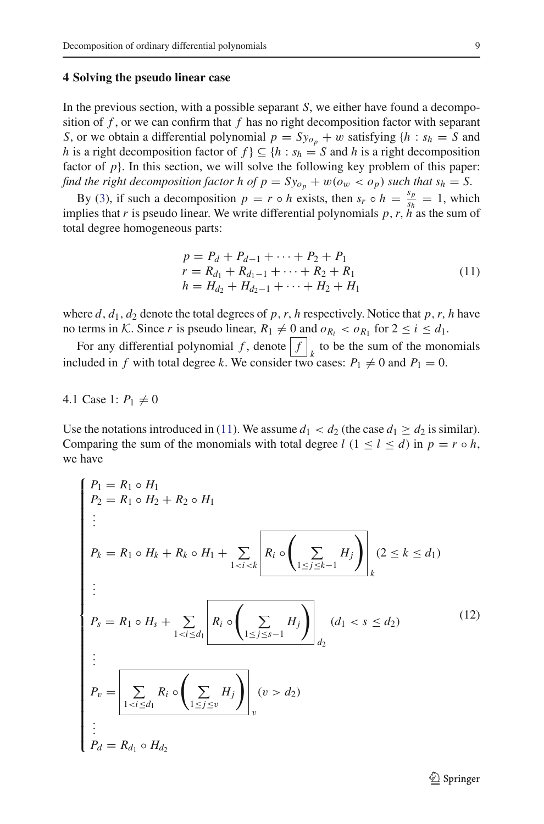#### <span id="page-8-0"></span>**4 Solving the pseudo linear case**

In the previous section, with a possible separant *S*, we either have found a decomposition of *f* , or we can confirm that *f* has no right decomposition factor with separant *S*, or we obtain a differential polynomial  $p = Sy_{o_n} + w$  satisfying  $\{h : s_h = S \}$  and *h* is a right decomposition factor of  $f$   $\subseteq$  {*h* :  $s_h = S$  and *h* is a right decomposition factor of  $p$ . In this section, we will solve the following key problem of this paper: *find the right decomposition factor h of*  $p = Sy_{o_p} + w(o_w < o_p)$  *such that*  $s_h = S$ .

By [\(3\)](#page-3-1), if such a decomposition  $p = r \circ h$  exists, then  $s_r \circ h = \frac{s_p}{s_h} = 1$ , which implies that *r* is pseudo linear. We write differential polynomials  $p, r, h''$  as the sum of total degree homogeneous parts:

<span id="page-8-1"></span>
$$
p = P_d + P_{d-1} + \dots + P_2 + P_1
$$
  
\n
$$
r = R_{d_1} + R_{d_1-1} + \dots + R_2 + R_1
$$
  
\n
$$
h = H_{d_2} + H_{d_2-1} + \dots + H_2 + H_1
$$
\n(11)

where  $d$ ,  $d_1$ ,  $d_2$  denote the total degrees of  $p$ ,  $r$ ,  $h$  respectively. Notice that  $p$ ,  $r$ ,  $h$  have no terms in *K*. Since *r* is pseudo linear,  $R_1 \neq 0$  and  $\rho_{R_i} < \rho_{R_1}$  for  $2 \leq i \leq d_1$ .

For any differential polynomial  $f$ , denote  $\left| \int f \right|_k$  to be the sum of the monomials included in *f* with total degree *k*. We consider two cases:  $P_1 \neq 0$  and  $P_1 = 0$ .

#### 4.1 Case 1:  $P_1 \neq 0$

<span id="page-8-2"></span>Use the notations introduced in [\(11\)](#page-8-1). We assume  $d_1 < d_2$  (the case  $d_1 \geq d_2$  is similar). Comparing the sum of the monomials with total degree *l* ( $1 \le l \le d$ ) in  $p = r \circ h$ , we have

$$
\begin{cases}\nP_1 = R_1 \circ H_1 \\
P_2 = R_1 \circ H_2 + R_2 \circ H_1 \\
\vdots \\
P_k = R_1 \circ H_k + R_k \circ H_1 + \sum_{1 < i < k} \left[ R_i \circ \left( \sum_{1 \le j \le k-1} H_j \right) \right]_k (2 \le k \le d_1) \\
\vdots \\
P_s = R_1 \circ H_s + \sum_{1 < i \le d_1} \left[ R_i \circ \left( \sum_{1 \le j \le s-1} H_j \right) \right]_d (d_1 < s \le d_2) \\
\vdots \\
P_v = \sum_{1 < i \le d_1} R_i \circ \left( \sum_{1 \le j \le v} H_j \right) \right]_v (v > d_2) \\
\vdots \\
P_d = R_{d_1} \circ H_{d_2}\n\end{cases} \tag{12}
$$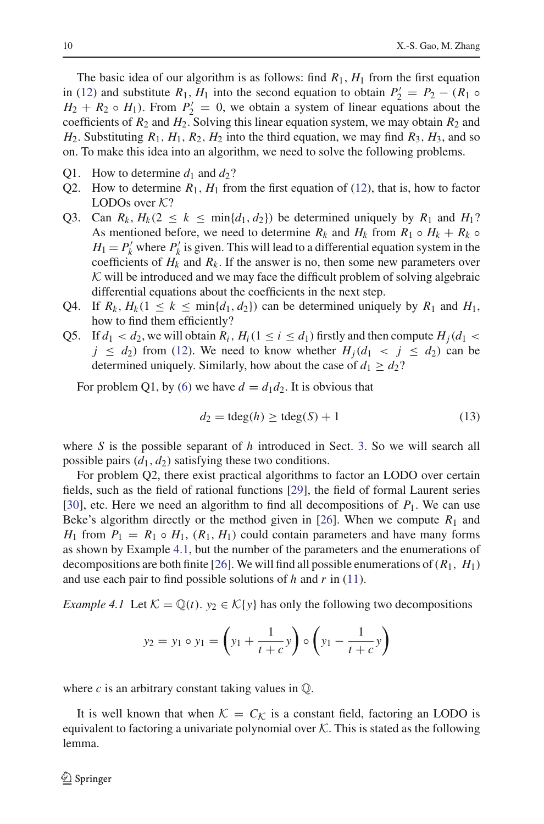The basic idea of our algorithm is as follows: find  $R_1$ ,  $H_1$  from the first equation in [\(12\)](#page-8-2) and substitute  $R_1$ ,  $H_1$  into the second equation to obtain  $P'_2 = P_2 - (R_1 \circ$  $H_2 + R_2 \circ H_1$ ). From  $P'_2 = 0$ , we obtain a system of linear equations about the coefficients of  $R_2$  and  $H_2$ . Solving this linear equation system, we may obtain  $R_2$  and  $H_2$ . Substituting  $R_1$ ,  $H_1$ ,  $R_2$ ,  $H_2$  into the third equation, we may find  $R_3$ ,  $H_3$ , and so on. To make this idea into an algorithm, we need to solve the following problems.

- Q1. How to determine  $d_1$  and  $d_2$ ?
- Q2. How to determine  $R_1$ ,  $H_1$  from the first equation of [\(12\)](#page-8-2), that is, how to factor LODOs over *K*?
- Q3. Can  $R_k$ ,  $H_k(2 \le k \le \min\{d_1, d_2\})$  be determined uniquely by  $R_1$  and  $H_1$ ? As mentioned before, we need to determine  $R_k$  and  $H_k$  from  $R_1 \circ H_k + R_k \circ$  $H_1 = P'_k$  where  $P'_k$  is given. This will lead to a differential equation system in the coefficients of  $H_k$  and  $R_k$ . If the answer is no, then some new parameters over *K* will be introduced and we may face the difficult problem of solving algebraic differential equations about the coefficients in the next step.
- Q4. If  $R_k$ ,  $H_k$ (1  $\leq$   $k \leq$  min{ $d_1$ ,  $d_2$ }) can be determined uniquely by  $R_1$  and  $H_1$ , how to find them efficiently?
- Q5. If  $d_1 < d_2$ , we will obtain  $R_i$ ,  $H_i(1 \leq i \leq d_1)$  firstly and then compute  $H_i(d_1 <$  $j \leq d_2$ ) from [\(12\)](#page-8-2). We need to know whether  $H_i(d_1 \lt j \leq d_2)$  can be determined uniquely. Similarly, how about the case of  $d_1 \geq d_2$ ?

For problem Q1, by [\(6\)](#page-3-6) we have  $d = d_1 d_2$ . It is obvious that

$$
d_2 = \text{tdeg}(h) \ge \text{tdeg}(S) + 1 \tag{13}
$$

where *S* is the possible separant of *h* introduced in Sect. [3.](#page-4-0) So we will search all possible pairs  $(d_1, d_2)$  satisfying these two conditions.

For problem Q2, there exist practical algorithms to factor an LODO over certain fields, such as the field of rational functions [\[29](#page-24-8)], the field of formal Laurent series [\[30](#page-24-9)], etc. Here we need an algorithm to find all decompositions of  $P_1$ . We can use Beke's algorithm directly or the method given in [\[26\]](#page-24-10). When we compute  $R_1$  and *H*<sub>1</sub> from  $P_1 = R_1 \circ H_1$ ,  $(R_1, H_1)$  could contain parameters and have many forms as shown by Example [4.1,](#page-9-0) but the number of the parameters and the enumerations of decompositions are both finite [\[26\]](#page-24-10). We will find all possible enumerations of  $(R_1, H_1)$ and use each pair to find possible solutions of *h* and *r* in [\(11\)](#page-8-1).

<span id="page-9-0"></span>*Example 4.1* Let  $K = \mathbb{Q}(t)$ .  $y_2 \in K\{y\}$  has only the following two decompositions

$$
y_2 = y_1 \circ y_1 = \left(y_1 + \frac{1}{t+c}y\right) \circ \left(y_1 - \frac{1}{t+c}y\right)
$$

where  $c$  is an arbitrary constant taking values in  $\mathbb{Q}$ .

<span id="page-9-1"></span>It is well known that when  $K = C_K$  is a constant field, factoring an LODO is equivalent to factoring a univariate polynomial over  $K$ . This is stated as the following lemma.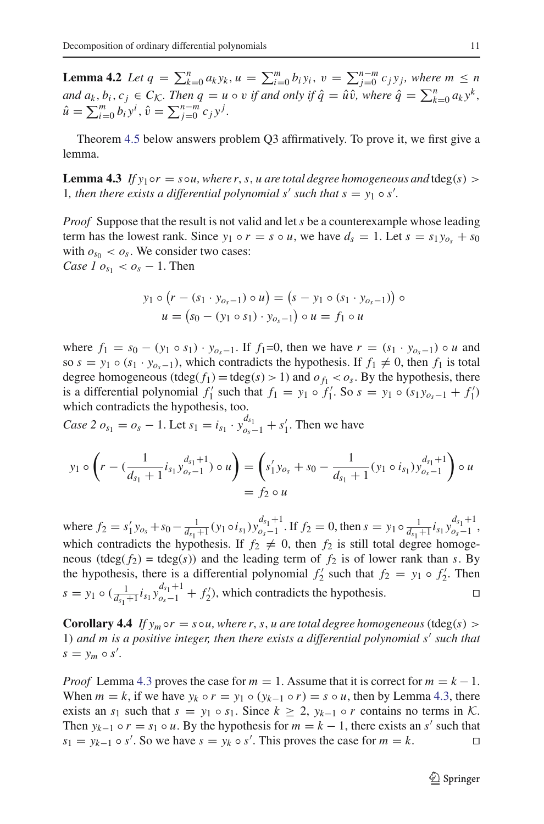**Lemma 4.2** Let  $q = \sum_{k=0}^{n} a_k y_k$ ,  $u = \sum_{i=0}^{m} b_i y_i$ ,  $v = \sum_{j=0}^{n-m} c_j y_j$ , where  $m \le n$ *and*  $a_k, b_i, c_j \in C_K$ . Then  $q = u \circ v$  if and only if  $\hat{q} = \hat{u}\hat{v}$ , where  $\hat{q} = \sum_{k=0}^n a_k y^k$ ,  $\hat{u} = \sum_{i=0}^{m} b_i y^i$ ,  $\hat{v} = \sum_{j=0}^{n-m} c_j y^j$ .

<span id="page-10-1"></span>Theorem [4.5](#page-10-0) below answers problem Q3 affirmatively. To prove it, we first give a lemma.

**Lemma 4.3** *If*  $y_1 \circ r = s \circ u$ , where r, s, u are total degree homogeneous and tdeg(s) > 1*, then there exists a differential polynomial s' such that*  $s = y_1 \circ s'$ *.* 

*Proof* Suppose that the result is not valid and let*s* be a counterexample whose leading term has the lowest rank. Since  $y_1 \circ r = s \circ u$ , we have  $d_s = 1$ . Let  $s = s_1 y_{o_s} + s_0$ with  $o_{s_0} < o_s$ . We consider two cases: *Case 1*  $o_{s_1} < o_s - 1$ . Then

$$
y_1 \circ (r - (s_1 \cdot y_{o_s - 1}) \circ u) = (s - y_1 \circ (s_1 \cdot y_{o_s - 1})) \circ u = (s_0 - (y_1 \circ s_1) \cdot y_{o_s - 1}) \circ u = f_1 \circ u
$$

where  $f_1 = s_0 - (y_1 \circ s_1) \cdot y_{o_s-1}$ . If  $f_1 = 0$ , then we have  $r = (s_1 \cdot y_{o_s-1}) \circ u$  and so  $s = y_1 \circ (s_1 \cdot y_{o_s-1})$ , which contradicts the hypothesis. If  $f_1 \neq 0$ , then  $f_1$  is total degree homogeneous (tdeg( $f_1$ ) = tdeg( $s$ ) > 1) and  $o_{f_1} < o_s$ . By the hypothesis, there is a differential polynomial  $f'_1$  such that  $f_1 = y_1 \circ f'_1$ . So  $s = y_1 \circ (s_1 y_{o_s-1} + f'_1)$ which contradicts the hypothesis, too.

*Case 2*  $o_{s_1} = o_s - 1$ . Let  $s_1 = i_{s_1} \cdot y_{o_s-1}^{d_{s_1}} + s'_1$ . Then we have

$$
y_1 \circ \left(r - \left(\frac{1}{d_{s_1}+1}i_{s_1}y_{o_s-1}^{d_{s_1}+1}\right) \circ u\right) = \left(s_1'y_{o_s} + s_0 - \frac{1}{d_{s_1}+1}(y_1 \circ i_{s_1})y_{o_s-1}^{d_{s_1}+1}\right) \circ u
$$
  
=  $f_2 \circ u$ 

where  $f_2 = s'_1 y_{o_s} + s_0 - \frac{1}{d_{s_1}+1} (y_1 \circ i_{s_1}) y_{o_s-1}^{d_{s_1}+1}$ . If  $f_2 = 0$ , then  $s = y_1 \circ \frac{1}{d_{s_1}+1} i_{s_1} y_{o_s-1}^{d_{s_1}+1}$ . which contradicts the hypothesis. If  $f_2 \neq 0$ , then  $f_2$  is still total degree homogeneous (tdeg( $f_2$ ) = tdeg( $s$ )) and the leading term of  $f_2$  is of lower rank than  $s$ . By the hypothesis, there is a differential polynomial  $f'_2$  such that  $f_2 = y_1 \circ f'_2$ . Then *s* = *y*<sub>1</sub> ◦ ( $\frac{1}{d_{s_1}+1} i_{s_1} y_{o_s-1}^{d_{s_1}+1} + f'_2$ ), which contradicts the hypothesis. □

<span id="page-10-2"></span>**Corollary 4.4** *If*  $y_m \circ r = s \circ u$ , where r, s, *u* are total degree homogeneous (tdeg(s) > 1) and m is a positive integer, then there exists a differential polynomial s' such that  $s = y_m \circ s'.$ 

<span id="page-10-0"></span>*Proof* Lemma [4.3](#page-10-1) proves the case for  $m = 1$ . Assume that it is correct for  $m = k - 1$ . When  $m = k$ , if we have  $y_k \circ r = y_1 \circ (y_{k-1} \circ r) = s \circ u$ , then by Lemma [4.3,](#page-10-1) there exists an  $s_1$  such that  $s = y_1 \circ s_1$ . Since  $k \geq 2$ ,  $y_{k-1} \circ r$  contains no terms in  $K$ . Then  $y_{k-1} \circ r = s_1 \circ u$ . By the hypothesis for  $m = k - 1$ , there exists an *s'* such that  $s_1 = y_{k-1} \circ s'$ . So we have  $s = y_k \circ s'$ . This proves the case for  $m = k$ .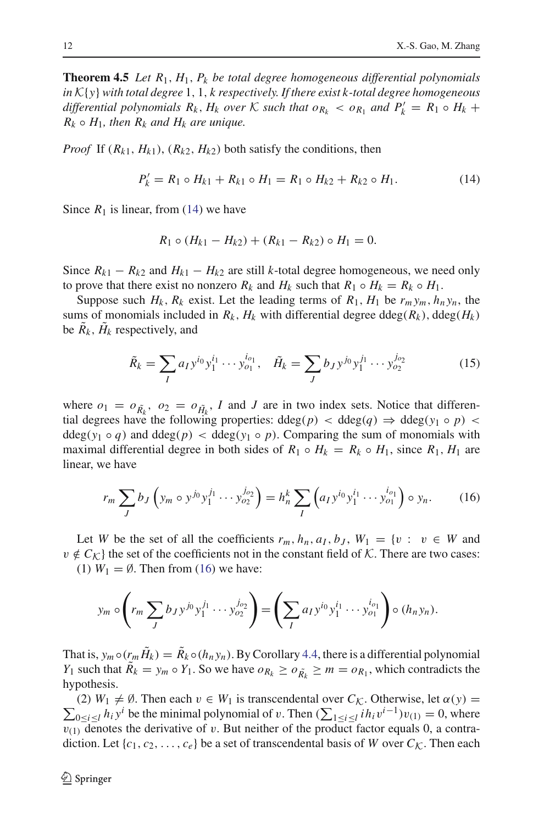**Theorem 4.5** *Let R*1, *H*1, *Pk be total degree homogeneous differential polynomials in K*{*y*} *with total degree* 1, 1, *k respectively. If there exist k-total degree homogeneous differential polynomials*  $R_k$ ,  $H_k$  *over*  $K$  *such that*  $o_{R_k} < o_{R_1}$  *and*  $P'_k = R_1 \circ H_k +$  $R_k \circ H_1$ , then  $R_k$  *and*  $H_k$  *are unique.* 

<span id="page-11-0"></span>*Proof* If  $(R_{k1}, H_{k1})$ ,  $(R_{k2}, H_{k2})$  both satisfy the conditions, then

$$
P'_k = R_1 \circ H_{k1} + R_{k1} \circ H_1 = R_1 \circ H_{k2} + R_{k2} \circ H_1.
$$
 (14)

Since  $R_1$  is linear, from [\(14\)](#page-11-0) we have

$$
R_1 \circ (H_{k1} - H_{k2}) + (R_{k1} - R_{k2}) \circ H_1 = 0.
$$

Since  $R_{k1} - R_{k2}$  and  $H_{k1} - H_{k2}$  are still *k*-total degree homogeneous, we need only to prove that there exist no nonzero  $R_k$  and  $H_k$  such that  $R_1 \circ H_k = R_k \circ H_1$ .

Suppose such  $H_k$ ,  $R_k$  exist. Let the leading terms of  $R_1$ ,  $H_1$  be  $r_m y_m$ ,  $h_n y_n$ , the sums of monomials included in  $R_k$ ,  $H_k$  with differential degree ddeg( $R_k$ ), ddeg( $H_k$ ) be  $R_k$ ,  $H_k$  respectively, and

$$
\tilde{R}_k = \sum_I a_I y^{i_0} y_1^{i_1} \cdots y_{o_1}^{i_{o_1}}, \quad \tilde{H}_k = \sum_J b_J y^{j_0} y_1^{j_1} \cdots y_{o_2}^{j_{o_2}} \tag{15}
$$

<span id="page-11-3"></span>where  $o_1 = o_{\tilde{R}_k}$ ,  $o_2 = o_{\tilde{H}_k}$ , *I* and *J* are in two index sets. Notice that differential degrees have the following properties: ddeg(*p*) < ddeg(*q*)  $\Rightarrow$  ddeg(*y*<sub>1</sub> ◦ *p*) <  $ddeg(y_1 \circ q)$  and  $ddeg(p) < deg(y_1 \circ p)$ . Comparing the sum of monomials with maximal differential degree in both sides of  $R_1 \circ H_k = R_k \circ H_1$ , since  $R_1$ ,  $H_1$  are linear, we have

$$
r_m \sum_{J} b_J \left( y_m \circ y^{j_0} y_1^{j_1} \cdots y_{o_2}^{j_{o_2}} \right) = h_n^k \sum_{I} \left( a_I y^{i_0} y_1^{i_1} \cdots y_{o_1}^{i_{o_1}} \right) \circ y_n. \tag{16}
$$

<span id="page-11-1"></span>Let *W* be the set of all the coefficients  $r_m$ ,  $h_n$ ,  $a_l$ ,  $b_j$ ,  $W_1 = \{v : v \in W \text{ and } v \in W\}$  $v \notin C_K$  the set of the coefficients not in the constant field of *K*. There are two cases:

(1)  $W_1 = \emptyset$ . Then from [\(16\)](#page-11-1) we have:

$$
y_m \circ \left(r_m \sum_{J} b_{J} y^{j_0} y_1^{j_1} \cdots y_{o_2}^{j_{o_2}}\right) = \left(\sum_{I} a_{I} y^{i_0} y_1^{i_1} \cdots y_{o_1}^{i_{o_1}}\right) \circ (h_n y_n).
$$

<span id="page-11-2"></span>That is,  $y_m \circ (r_m \tilde{H}_k) = \tilde{R}_k \circ (h_n y_n)$ . By Corollary [4.4,](#page-10-2) there is a differential polynomial *Y*<sub>1</sub> such that  $\tilde{R}_k = y_m \circ Y_1$ . So we have  $o_{R_k} \ge o_{\tilde{R}_k} \ge m = o_{R_1}$ , which contradicts the hypothesis.

 $\sum_{0 \le i \le l} h_i y^i$  be the minimal polynomial of v. Then  $(\sum_{1 \le i \le l} i h_i v^{i-1})v_{(1)} = 0$ , where (2)  $W_1 \neq \emptyset$ . Then each  $v \in W_1$  is transcendental over  $C_K$ . Otherwise, let  $\alpha(y)$  =  $v_{(1)}$  denotes the derivative of v. But neither of the product factor equals 0, a contradiction. Let  $\{c_1, c_2, \ldots, c_e\}$  be a set of transcendental basis of *W* over  $C_K$ . Then each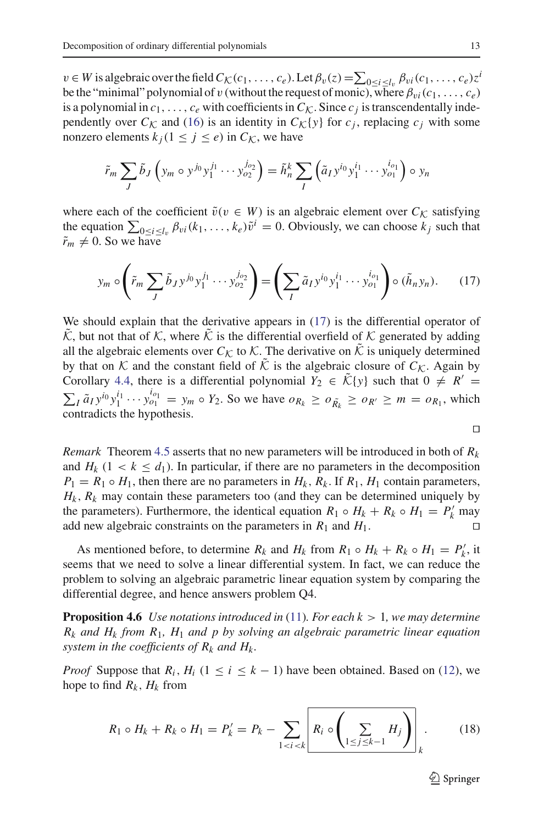$v \in W$  is algebraic over the field  $C_K(c_1,\ldots,c_e)$ . Let  $\beta_v(z) = \sum_{0 \le i \le l_v} \beta_{vi}(c_1,\ldots,c_e)z^i$ be the "minimal" polynomial of v (without the request of monic), where  $\beta_{vi}(c_1,\ldots,c_e)$ is a polynomial in  $c_1, \ldots, c_e$  with coefficients in  $C_K$ . Since  $c_j$  is transcendentally independently over  $C_K$  and [\(16\)](#page-11-1) is an identity in  $C_K\{y\}$  for  $c_j$ , replacing  $c_j$  with some nonzero elements  $k_i$  (1  $\leq$  *j*  $\leq$  *e*) in  $C_K$ , we have

$$
\tilde{r}_m \sum_J \tilde{b}_J \left( y_m \circ y^{j_0} y_1^{j_1} \cdots y_{o_2}^{j_{o_2}} \right) = \tilde{h}_n^k \sum_I \left( \tilde{a}_I y^{i_0} y_1^{i_1} \cdots y_{o_1}^{i_{o_1}} \right) \circ y_n
$$

where each of the coefficient  $\tilde{v}(v \in W)$  is an algebraic element over  $C_K$  satisfying the equation  $\sum_{0 \le i \le l_v} \beta_{vi}(k_1,\ldots,k_e)\tilde{v}^i = 0$ . Obviously, we can choose  $k_j$  such that  $\tilde{r}_m \neq 0$ . So we have

$$
y_m \circ \left(\tilde{r}_m \sum_J \tilde{b}_J y^{j_0} y_1^{j_1} \cdots y_{o_2}^{j_{o_2}}\right) = \left(\sum_I \tilde{a}_I y^{i_0} y_1^{i_1} \cdots y_{o_1}^{i_{o_1}}\right) \circ (\tilde{h}_n y_n). \tag{17}
$$

We should explain that the derivative appears in  $(17)$  is the differential operator of  $\tilde{\mathcal{K}}$ , but not that of  $\mathcal{K}$ , where  $\tilde{\mathcal{K}}$  is the differential overfield of  $\mathcal{K}$  generated by adding all the algebraic elements over  $C_K$  to  $K$ . The derivative on  $\tilde{K}$  is uniquely determined by that on  $K$  and the constant field of  $\hat{K}$  is the algebraic closure of  $C_K$ . Again by Corollary [4.4,](#page-10-2) there is a differential polynomial  $Y_2 \in \tilde{\mathcal{K}}\{y\}$  such that  $0 \neq R' =$  $\sum_{I} \tilde{a}_{I} y^{i_0} y_1^{i_1} \cdots y_{o_1}^{i_{o_1}} = y_m \circ Y_2$ . So we have  $o_{R_k} \ge o_{R_k} \ge o_{R'} \ge m = o_{R_1}$ , which contradicts the hypothesis.

$$
\Box
$$

*Remark* Theorem [4.5](#page-10-0) asserts that no new parameters will be introduced in both of *Rk* and  $H_k$  (1 <  $k \leq d_1$ ). In particular, if there are no parameters in the decomposition  $P_1 = R_1 \circ H_1$ , then there are no parameters in  $H_k$ ,  $R_k$ . If  $R_1$ ,  $H_1$  contain parameters,  $H_k$ ,  $R_k$  may contain these parameters too (and they can be determined uniquely by the parameters). Furthermore, the identical equation  $R_1 \circ H_k + R_k \circ H_1 = P'_k$  may add new algebraic constraints on the parameters in  $R_1$  and  $H_1$ .

As mentioned before, to determine  $R_k$  and  $H_k$  from  $R_1 \circ H_k + R_k \circ H_1 = P'_k$ , it seems that we need to solve a linear differential system. In fact, we can reduce the problem to solving an algebraic parametric linear equation system by comparing the differential degree, and hence answers problem Q4.

<span id="page-12-1"></span>**Proposition 4.6** *Use notations introduced in* [\(11\)](#page-8-1)*. For each k* > 1*, we may determine Rk and Hk from R*1*, H*<sup>1</sup> *and p by solving an algebraic parametric linear equation system in the coefficients of*  $R_k$  *and*  $H_k$ *.* 

<span id="page-12-0"></span>*Proof* Suppose that  $R_i$ ,  $H_i$  (1  $\leq i \leq k - 1$ ) have been obtained. Based on [\(12\)](#page-8-2), we hope to find  $R_k$ ,  $H_k$  from

$$
R_1 \circ H_k + R_k \circ H_1 = P'_k = P_k - \sum_{1 < i < k} \left[ R_i \circ \left( \sum_{1 \leq j \leq k-1} H_j \right) \right]_k. \tag{18}
$$

 $\mathcal{L}$  Springer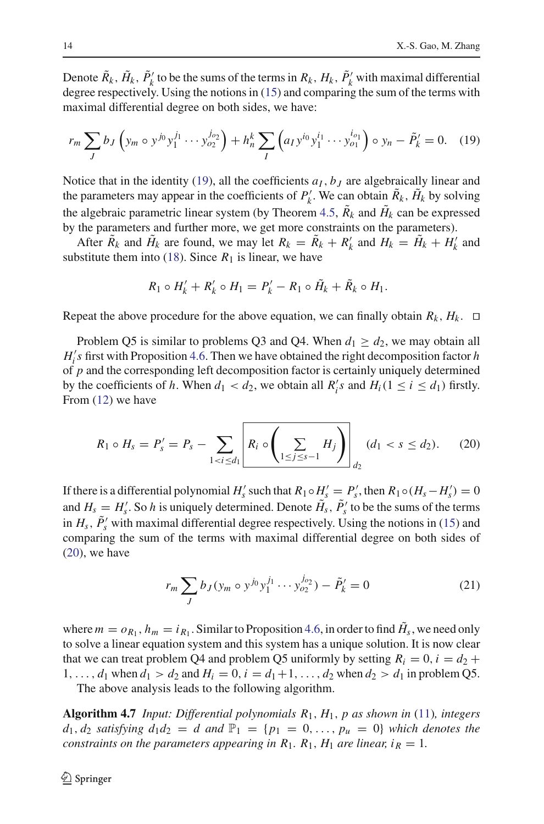Denote  $\tilde{R}_k$ ,  $\tilde{H}_k$ ,  $\tilde{P}'_k$  to be the sums of the terms in  $R_k$ ,  $H_k$ ,  $\tilde{P}'_k$  with maximal differential degree respectively. Using the notions in [\(15\)](#page-11-3) and comparing the sum of the terms with maximal differential degree on both sides, we have:

<span id="page-13-0"></span>
$$
r_m \sum_{J} b_J \left( y_m \circ y^{j_0} y_1^{j_1} \cdots y_{o_2}^{j_{o_2}} \right) + h_n^k \sum_{I} \left( a_I y^{i_0} y_1^{i_1} \cdots y_{o_1}^{i_{o_1}} \right) \circ y_n - \tilde{P}_k' = 0. \quad (19)
$$

Notice that in the identity [\(19\)](#page-13-0), all the coefficients  $a<sub>I</sub>$ ,  $b<sub>J</sub>$  are algebraically linear and the parameters may appear in the coefficients of  $P'_k$ . We can obtain  $\tilde{R}_k$ ,  $\tilde{H}_k$  by solving the algebraic parametric linear system (by Theorem [4.5,](#page-10-0)  $\tilde{R}_k$  and  $\tilde{H}_k$  can be expressed by the parameters and further more, we get more constraints on the parameters).

After  $\tilde{R}_k$  and  $\tilde{H}_k$  are found, we may let  $R_k = \tilde{R}_k + R'_k$  and  $H_k = \tilde{H}_k + H'_k$  and substitute them into [\(18\)](#page-12-0). Since  $R_1$  is linear, we have

$$
R_1 \circ H'_k + R'_k \circ H_1 = P'_k - R_1 \circ \tilde{H}_k + \tilde{R}_k \circ H_1.
$$

Repeat the above procedure for the above equation, we can finally obtain  $R_k$ ,  $H_k$ .  $\Box$ 

Problem Q5 is similar to problems Q3 and Q4. When  $d_1 \geq d_2$ , we may obtain all  $H_i$ 's first with Proposition [4.6.](#page-12-1) Then we have obtained the right decomposition factor *h* of *p* and the corresponding left decomposition factor is certainly uniquely determined by the coefficients of *h*. When  $d_1 < d_2$ , we obtain all  $R'_i s$  and  $H_i (1 \le i \le d_1)$  firstly. From [\(12\)](#page-8-2) we have

$$
R_1 \circ H_s = P'_s = P_s - \sum_{1 < i \le d_1} \left[ R_i \circ \left( \sum_{1 \le j \le s-1} H_j \right) \right]_{d_2} (d_1 < s \le d_2). \tag{20}
$$

<span id="page-13-1"></span>If there is a differential polynomial  $H'_s$  such that  $R_1 \circ H'_s = P'_s$ , then  $R_1 \circ (H_s - H'_s) = 0$ and  $H_s = H'_s$ . So *h* is uniquely determined. Denote  $\tilde{H}_s$ ,  $\tilde{P}'_s$  to be the sums of the terms in  $H_s$ ,  $\tilde{P}_s'$  with maximal differential degree respectively. Using the notions in [\(15\)](#page-11-3) and comparing the sum of the terms with maximal differential degree on both sides of  $(20)$ , we have

$$
r_m \sum_{J} b_J (y_m \circ y^{j_0} y_1^{j_1} \cdots y_{o_2}^{j_{o_2}}) - \tilde{P}_k' = 0
$$
 (21)

where  $m = o_{R_1}$ ,  $h_m = i_{R_1}$ . Similar to Proposition [4.6,](#page-12-1) in order to find  $H_s$ , we need only to solve a linear equation system and this system has a unique solution. It is now clear that we can treat problem Q4 and problem Q5 uniformly by setting  $R_i = 0$ ,  $i = d_2 +$ 1,...,  $d_1$  when  $d_1 > d_2$  and  $H_i = 0$ ,  $i = d_1 + 1$ , ...,  $d_2$  when  $d_2 > d_1$  in problem Q5.

The above analysis leads to the following algorithm.

<span id="page-13-2"></span>**Algorithm 4.7** *Input: Differential polynomials R*1, *H*1, *p as shown in* [\(11\)](#page-8-1)*, integers*  $d_1, d_2$  *satisfying*  $d_1 d_2 = d$  *and*  $\mathbb{P}_1 = \{p_1 = 0, ..., p_u = 0\}$  *which denotes the constraints on the parameters appearing in*  $R_1$ *.*  $R_1$ *,*  $H_1$  *are linear, i<sub>R</sub> = 1.*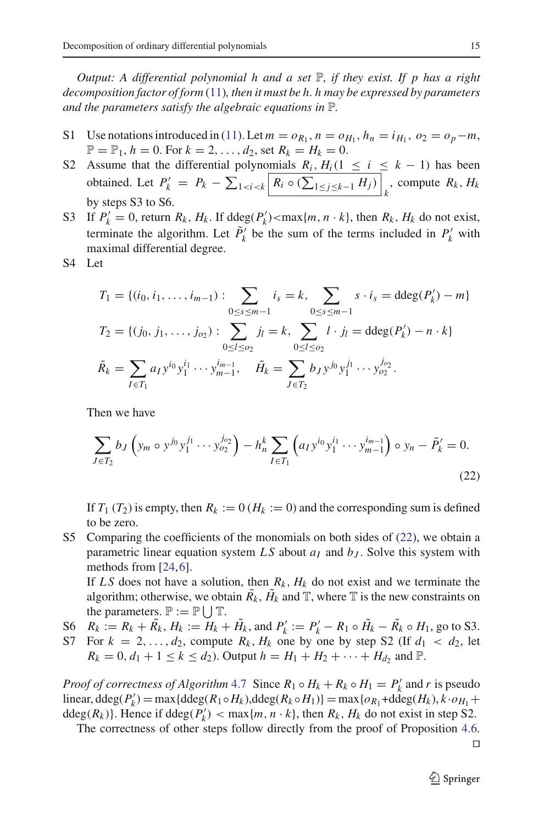*Output: A differential polynomial h and a set* P*, if they exist. If p has a right decomposition factor of form* [\(11\)](#page-8-1)*, then it must be h. h may be expressed by parameters and the parameters satisfy the algebraic equations in* P*.*

- S1 Use notations introduced in [\(11\)](#page-8-1). Let  $m = o_{R_1}$ ,  $n = o_{H_1}$ ,  $h_n = i_{H_1}$ ,  $o_2 = o_p m$ ,  $\mathbb{P} = \mathbb{P}_1, h = 0$ . For  $k = 2, ..., d_2$ , set  $R_k = H_k = 0$ .
- S2 Assume that the differential polynomials  $R_i$ ,  $H_i$ (1  $\leq i \leq k 1$ ) has been obtained. Let  $P'_k = P_k - \sum_{1 \le i \le k} \left| R_i \circ (\sum_{1 \le j \le k-1} H_j) \right|_k$ , compute  $R_k$ ,  $H_k$ by steps S3 to S6.
- S3 If  $P'_k = 0$ , return  $R_k$ ,  $H_k$ . If  $\deg(P'_k) < \max\{m, n \cdot k\}$ , then  $R_k$ ,  $H_k$  do not exist, terminate the algorithm. Let  $\tilde{P}_k'$  be the sum of the terms included in  $P'_k$  with maximal differential degree.
- <span id="page-14-0"></span>S4 Let

$$
T_1 = \{(i_0, i_1, \dots, i_{m-1}) : \sum_{0 \le s \le m-1} i_s = k, \sum_{0 \le s \le m-1} s \cdot i_s = \text{ddeg}(P'_k) - m\}
$$
  
\n
$$
T_2 = \{(j_0, j_1, \dots, j_{o_2}) : \sum_{0 \le l \le o_2} j_l = k, \sum_{0 \le l \le o_2} l \cdot j_l = \text{ddeg}(P'_k) - n \cdot k\}
$$
  
\n
$$
\tilde{R}_k = \sum_{I \in T_1} a_I y^{i_0} y_1^{i_1} \cdots y_{m-1}^{i_{m-1}}, \quad \tilde{H}_k = \sum_{J \in T_2} b_J y^{j_0} y_1^{j_1} \cdots y_{o_2}^{j_{o_2}}.
$$

Then we have

$$
\sum_{J \in T_2} b_J \left( y_m \circ y^{j_0} y_1^{j_1} \cdots y_{o_2}^{j_{o_2}} \right) - h_n^k \sum_{I \in T_1} \left( a_I y^{i_0} y_1^{i_1} \cdots y_{m-1}^{i_{m-1}} \right) \circ y_n - \tilde{P}_k' = 0.
$$
\n(22)

If  $T_1$  ( $T_2$ ) is empty, then  $R_k := 0$  ( $H_k := 0$ ) and the corresponding sum is defined to be zero.

S5 Comparing the coefficients of the monomials on both sides of [\(22\)](#page-14-0), we obtain a parametric linear equation system  $LS$  about  $a_I$  and  $b_J$ . Solve this system with methods from [\[24,](#page-24-17)[6\]](#page-23-12).

If LS does not have a solution, then  $R_k$ ,  $H_k$  do not exist and we terminate the algorithm; otherwise, we obtain  $\tilde{R_k}$ ,  $\tilde{H_k}$  and  $\mathbb{T}$ , where  $\mathbb{T}$  is the new constraints on the parameters.  $\mathbb{P} := \mathbb{P} \cup \mathbb{T}$ .

S6  $R_k := R_k + \tilde{R}_k$ ,  $H_k := H_k + \tilde{H}_k$ , and  $P'_k := P'_k - R_1 \circ \tilde{H}_k - \tilde{R}_k \circ H_1$ , go to S3. S7 For  $k = 2, \ldots, d_2$ , compute  $R_k$ ,  $H_k$  one by one by step S2 (If  $d_1 < d_2$ , let  $R_k = 0, d_1 + 1 \le k \le d_2$ . Output  $h = H_1 + H_2 + \cdots + H_{d_2}$  and  $\mathbb{P}$ .

*Proof of correctness of Algorithm* [4.7](#page-13-2) Since  $R_1 \circ H_k + R_k \circ H_1 = P'_k$  and *r* is pseudo linear, ddeg $(P'_k)$  = max{ddeg $(R_1 \circ H_k)$ ,ddeg $(R_k \circ H_1)$ } = max{ $o_{R_1}$ +ddeg $(H_k)$ ,  $k \cdot o_{H_1}$  + ddeg( $R_k$ )}. Hence if ddeg( $P'_k$ ) < max{ $m, n \cdot k$ }, then  $R_k$ ,  $H_k$  do not exist in step S2.

The correctness of other steps follow directly from the proof of Proposition [4.6.](#page-12-1)

 $\Box$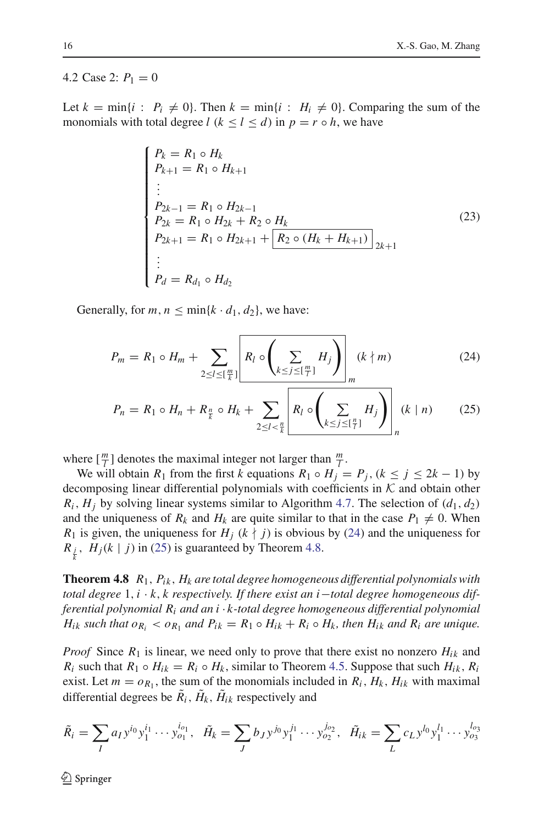#### 4.2 Case 2:  $P_1 = 0$

Let  $k = \min\{i : P_i \neq 0\}$ . Then  $k = \min\{i : H_i \neq 0\}$ . Comparing the sum of the monomials with total degree  $l$  ( $k \le l \le d$ ) in  $p = r \circ h$ , we have

<span id="page-15-2"></span>
$$
\begin{cases}\nP_k = R_1 \circ H_k \\
P_{k+1} = R_1 \circ H_{k+1} \\
\vdots \\
P_{2k-1} = R_1 \circ H_{2k-1} \\
P_{2k} = R_1 \circ H_{2k} + R_2 \circ H_k \\
P_{2k+1} = R_1 \circ H_{2k+1} + \boxed{R_2 \circ (H_k + H_{k+1})} \\
\vdots \\
P_d = R_{d_1} \circ H_{d_2}\n\end{cases} (23)
$$

<span id="page-15-0"></span>Generally, for  $m, n \leq \min\{k \cdot d_1, d_2\}$ , we have:

$$
P_m = R_1 \circ H_m + \sum_{2 \le l \le \lfloor \frac{m}{k} \rfloor} \left[ R_l \circ \left( \sum_{k \le j \le \lfloor \frac{m}{l} \rfloor} H_j \right) \right]_m (k \nmid m) \tag{24}
$$

$$
P_n = R_1 \circ H_n + R_{\frac{n}{k}} \circ H_k + \sum_{2 \le l < \frac{n}{k}} \left[ R_l \circ \left( \sum_{k \le j \le \lceil \frac{n}{l} \rceil} H_j \right) \right]_n (k \mid n) \tag{25}
$$

where  $\left[\frac{m}{l}\right]$  denotes the maximal integer not larger than  $\frac{m}{l}$ .

We will obtain  $R_1$  from the first  $k$  equations  $R_1 \circ H_j = P_j$ ,  $(k \le j \le 2k - 1)$  by decomposing linear differential polynomials with coefficients in *K* and obtain other  $R_i$ ,  $H_i$  by solving linear systems similar to Algorithm [4.7.](#page-13-2) The selection of  $(d_1, d_2)$ and the uniqueness of  $R_k$  and  $H_k$  are quite similar to that in the case  $P_1 \neq 0$ . When *R*<sub>1</sub> is given, the uniqueness for  $H_i$  ( $k \nmid j$ ) is obvious by [\(24\)](#page-15-0) and the uniqueness for  $R_{\frac{j}{k}}$ ,  $H_j(k | j)$  in [\(25\)](#page-15-0) is guaranteed by Theorem [4.8.](#page-15-1)

<span id="page-15-1"></span>**Theorem 4.8** *R*1, *Pik* , *Hk are total degree homogeneous differential polynomials with total degree* 1,*i* · *k*, *k respectively. If there exist an i*−*total degree homogeneous differential polynomial Ri and an i* · *k-total degree homogeneous differential polynomial H*<sub>ik</sub> such that  $o_{R_i} < o_{R_1}$  and  $P_{ik} = R_1 \circ H_{ik} + R_i \circ H_k$ , then  $H_{ik}$  and  $R_i$  are unique.

*Proof* Since  $R_1$  is linear, we need only to prove that there exist no nonzero  $H_{ik}$  and  $R_i$  such that  $R_1 \circ H_{ik} = R_i \circ H_k$ , similar to Theorem [4.5.](#page-10-0) Suppose that such  $H_{ik}$ ,  $R_i$ exist. Let  $m = o_{R_1}$ , the sum of the monomials included in  $R_i$ ,  $H_k$ ,  $H_{ik}$  with maximal differential degrees be  $\tilde{R}_i$ ,  $\tilde{H}_k$ ,  $\tilde{H}_{ik}$  respectively and

$$
\tilde{R}_i = \sum_I a_I y^{i_0} y_1^{i_1} \cdots y_{o_1}^{i_{o_1}}, \quad \tilde{H}_k = \sum_J b_J y^{j_0} y_1^{j_1} \cdots y_{o_2}^{j_{o_2}}, \quad \tilde{H}_{ik} = \sum_L c_L y^{l_0} y_1^{l_1} \cdots y_{o_3}^{l_{o_3}}
$$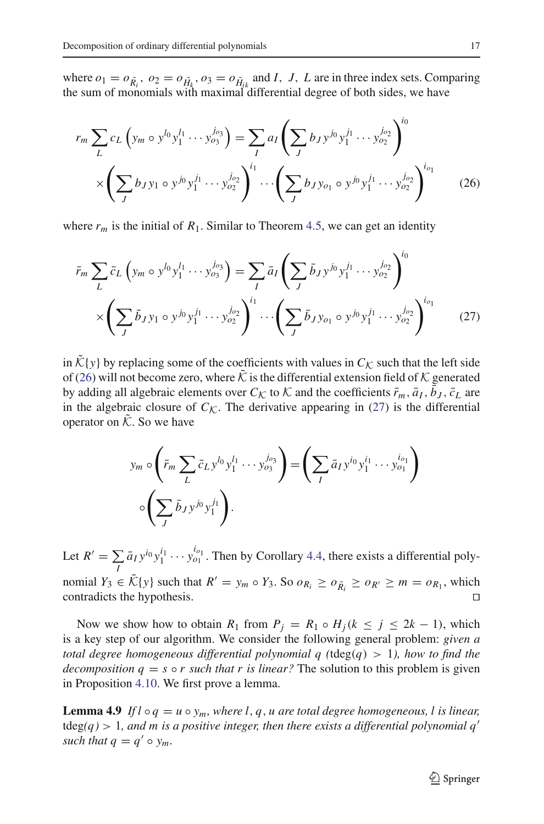where  $o_1 = o_{\tilde{R}_i}$ ,  $o_2 = o_{\tilde{H}_k}$ ,  $o_3 = o_{\tilde{H}_i}$  and *I*, *J*, *L* are in three index sets. Comparing the sum of monomials with maximal differential degree of both sides, we have

<span id="page-16-0"></span>
$$
r_m \sum_{L} c_L \left( y_m \circ y^{l_0} y_1^{l_1} \cdots y_{o_3}^{l_{o_3}} \right) = \sum_{I} a_I \left( \sum_{J} b_{J} y^{j_0} y_1^{j_1} \cdots y_{o_2}^{j_{o_2}} \right)^{i_0}
$$

$$
\times \left( \sum_{J} b_{J} y_1 \circ y^{j_0} y_1^{j_1} \cdots y_{o_2}^{j_{o_2}} \right)^{i_1} \cdots \left( \sum_{J} b_{J} y_{o_1} \circ y^{j_0} y_1^{j_1} \cdots y_{o_2}^{j_{o_2}} \right)^{i_{o_1}} \qquad (26)
$$

<span id="page-16-1"></span>where  $r_m$  is the initial of  $R_1$ . Similar to Theorem [4.5,](#page-10-0) we can get an identity

$$
\bar{r}_m \sum_L \bar{c}_L \left( y_m \circ y^{l_0} y_1^{l_1} \cdots y_{o_3}^{l_{o_3}} \right) = \sum_I \bar{a}_I \left( \sum_J \bar{b}_J y^{j_0} y_1^{j_1} \cdots y_{o_2}^{j_{o_2}} \right)^{i_0} \times \left( \sum_J \bar{b}_J y_1 \circ y^{j_0} y_1^{j_1} \cdots y_{o_2}^{j_{o_2}} \right)^{i_1} \cdots \left( \sum_J \bar{b}_J y_{o_1} \circ y^{j_0} y_1^{j_1} \cdots y_{o_2}^{j_{o_2}} \right)^{i_{o_1}} \tag{27}
$$

in  $\tilde{\mathcal{K}}\{y\}$  by replacing some of the coefficients with values in  $C_{\mathcal{K}}$  such that the left side of [\(26\)](#page-16-0) will not become zero, where  $\tilde{\mathcal{K}}$  is the differential extension field of  $\mathcal{K}$  generated by adding all algebraic elements over  $C_K$  to  $K$  and the coefficients  $\bar{r}_m$ ,  $\bar{a}_I$ ,  $b_J$ ,  $\bar{c}_L$  are in the algebraic closure of  $C_K$ . The derivative appearing in [\(27\)](#page-16-1) is the differential operator on  $\tilde{\mathcal{K}}$ . So we have

$$
y_m \circ \left(\bar{r}_m \sum_L \bar{c}_L y^{l_0} y_1^{l_1} \cdots y_{o_3}^{j_{o_3}}\right) = \left(\sum_I \bar{a}_I y^{i_0} y_1^{i_1} \cdots y_{o_1}^{i_{o_1}}\right)
$$

$$
\circ \left(\sum_J \bar{b}_J y^{j_0} y_1^{j_1}\right).
$$

<span id="page-16-3"></span>Let  $R' = \sum$  $\sum_{I} \bar{a}_{I} y^{i_0} y_1^{i_1} \cdots y_{o_1}^{i_{o_1}}$ . Then by Corollary [4.4,](#page-10-2) there exists a differential polynomial *Y*<sub>3</sub> ∈  $\tilde{\mathcal{K}}\{y\}$  such that  $R' = y_m \circ Y_3$ . So  $o_{R_i} \ge o_{\tilde{R_i}} \ge o_{R'} \ge m = o_{R_1}$ , which contradicts the hypothesis.  $\Box$ contradicts the hypothesis.

Now we show how to obtain  $R_1$  from  $P_j = R_1 \circ H_j (k \leq j \leq 2k - 1)$ , which is a key step of our algorithm. We consider the following general problem: *given a total degree homogeneous differential polynomial q (*tdeg(*q*) > 1*), how to find the decomposition*  $q = s \circ r$  *such that r is linear?* The solution to this problem is given in Proposition [4.10.](#page-17-0) We first prove a lemma.

<span id="page-16-2"></span>**Lemma 4.9** If  $l \circ q = u \circ y_m$ , where  $l, q, u$  are total degree homogeneous, l is linear,  $tdeg(q) > 1$ , and m is a positive integer, then there exists a differential polynomial  $q'$ *such that*  $q = q' \circ y_m$ .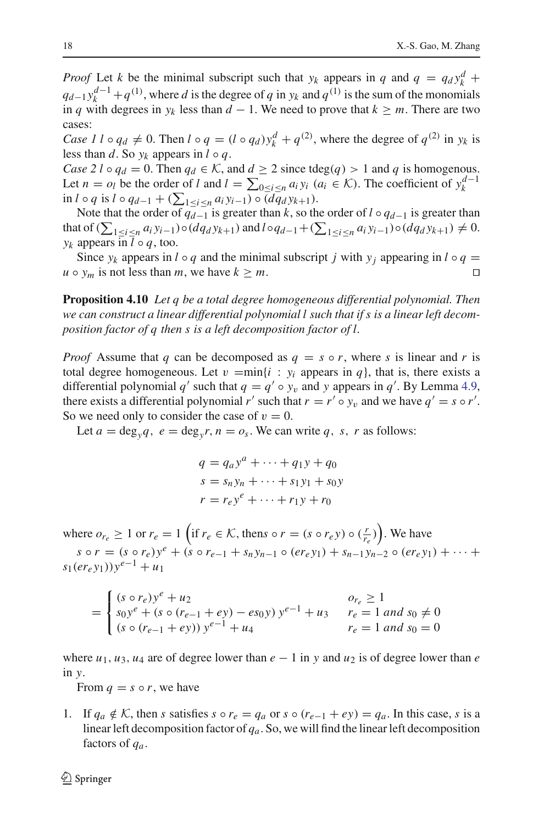*Proof* Let *k* be the minimal subscript such that  $y_k$  appears in *q* and  $q = q_d y_k^d +$  $q_{d-1}y_k^{d-1} + q^{(1)}$ , where *d* is the degree of *q* in  $y_k$  and  $q^{(1)}$  is the sum of the monomials in *q* with degrees in *y<sub>k</sub>* less than *d* − 1. We need to prove that  $k \ge m$ . There are two cases:

*Case 1 l* ◦ *q<sub>d</sub>*  $\neq$  0. Then *l* ◦ *q* = (*l* ◦ *q<sub>d</sub>*)*y*<sup>*d*</sup> + *q*<sup>(2)</sup>, where the degree of *q*<sup>(2)</sup> in *y<sub>k</sub>* is less than *d*. So  $y_k$  appears in  $l \circ q$ .

*Case 2 l* ◦  $q_d = 0$ . Then  $q_d \in K$ , and  $d \geq 2$  since tdeg(*q*) > 1 and *q* is homogenous. Let  $n = o_l$  be the order of *l* and  $l = \sum_{0 \leq i \leq n} a_i y_i$  ( $a_i \in \mathcal{K}$ ). The coefficient of  $y_k^{d-1}$ in *l* ◦ *q* is *l* ◦  $q_{d-1}$  + ( $\sum_{1 \le i \le n} a_i y_{i-1}$ ) ◦ ( $dq_d y_{k+1}$ ).

Note that the order of  $q_{d-1}$  is greater than *k*, so the order of *l* ∘  $q_{d-1}$  is greater than that of  $(\sum_{1 \le i \le n} a_i y_{i-1}) \circ (d q_d y_{k+1})$  and  $l \circ q_{d-1} + (\sum_{1 \le i \le n} a_i y_{i-1}) \circ (d q_d y_{k+1}) \ne 0$ . *y<sub>k</sub>* appears in  $l \circ q$ , too.

Since  $y_k$  appears in  $l \circ q$  and the minimal subscript *j* with  $y_j$  appearing in  $l \circ q =$  $u \circ y_m$  is not less than *m*, we have  $k \geq m$ .

<span id="page-17-0"></span>**Proposition 4.10** *Let q be a total degree homogeneous differential polynomial. Then we can construct a linear differential polynomial l such that if s is a linear left decomposition factor of q then s is a left decomposition factor of l.*

*Proof* Assume that *q* can be decomposed as  $q = s \circ r$ , where *s* is linear and *r* is total degree homogeneous. Let  $v = min\{i : y_i$  appears in  $q\}$ , that is, there exists a differential polynomial *q'* such that  $q = q' \circ y_v$  and *y* appears in *q'*. By Lemma [4.9,](#page-16-2) there exists a differential polynomial *r'* such that  $r = r' \circ y_v$  and we have  $q' = s \circ r'$ . So we need only to consider the case of  $v = 0$ .

Let  $a = \text{deg}_{y}q$ ,  $e = \text{deg}_{y}r$ ,  $n = o_s$ . We can write q, s, r as follows:

$$
q = q_a y^a + \dots + q_1 y + q_0
$$
  
\n
$$
s = s_n y_n + \dots + s_1 y_1 + s_0 y
$$
  
\n
$$
r = r_e y^e + \dots + r_1 y + r_0
$$

where  $o_{r_e} \ge 1$  or  $r_e = 1$  (if  $r_e \in \mathcal{K}$ , thens  $\circ r = (s \circ r_e y) \circ \left(\frac{r}{r_e}\right)$ ). We have  $s \circ r = (s \circ r_e)y^e + (s \circ r_{e-1} + s_n y_{n-1} \circ (er_e y_1) + s_{n-1} y_{n-2} \circ (er_e y_1) + \cdots$  $s_1(er_e y_1)$ ) $y^{e-1} + u_1$ 

$$
= \begin{cases} (s \circ r_e)y^e + u_2 & o_{r_e} \ge 1\\ s_0y^e + (s \circ (r_{e-1} + ey) - es_0y) y^{e-1} + u_3 & r_e = 1 \text{ and } s_0 \ne 0\\ (s \circ (r_{e-1} + ey)) y^{e-1} + u_4 & r_e = 1 \text{ and } s_0 = 0 \end{cases}
$$

where  $u_1, u_3, u_4$  are of degree lower than  $e - 1$  in y and  $u_2$  is of degree lower than  $e$ in *y*.

From  $q = s \circ r$ , we have

1. If  $q_a \notin \mathcal{K}$ , then *s* satisfies  $s \circ r_e = q_a$  or  $s \circ (r_{e-1} + ey) = q_a$ . In this case, *s* is a linear left decomposition factor of *qa*. So, we will find the linear left decomposition factors of *qa*.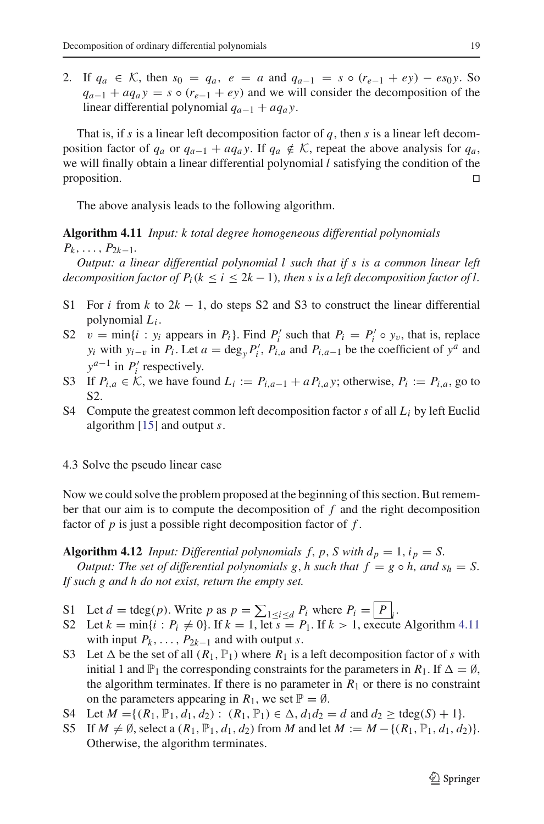2. If  $q_a \in \mathcal{K}$ , then  $s_0 = q_a$ ,  $e = a$  and  $q_{a-1} = s \circ (r_{e-1} + ey) - es_0 y$ . So  $q_{a-1} + a q_a y = s \circ (r_{e-1} + e y)$  and we will consider the decomposition of the linear differential polynomial *qa*<sup>−</sup><sup>1</sup> + *aqa y*.

That is, if *s* is a linear left decomposition factor of *q*, then *s* is a linear left decomposition factor of  $q_a$  or  $q_{a-1} + a q_a y$ . If  $q_a \notin \mathcal{K}$ , repeat the above analysis for  $q_a$ , we will finally obtain a linear differential polynomial *l* satisfying the condition of the proposition.

The above analysis leads to the following algorithm.

<span id="page-18-0"></span>**Algorithm 4.11** *Input: k total degree homogeneous differential polynomials*  $P_k, \ldots, P_{2k-1}.$ 

*Output: a linear differential polynomial l such that if s is a common linear left decomposition factor of*  $P_i$ ( $k \leq i \leq 2k-1$ )*, then s is a left decomposition factor of l.* 

- S1 For *i* from *k* to 2*k* − 1, do steps S2 and S3 to construct the linear differential polynomial *Li* .
- S2  $v = \min\{i : y_i \text{ appears in } P_i\}$ . Find  $P'_i$  such that  $P_i = P'_i \circ y_v$ , that is, replace *y<sub>i</sub>* with *y<sub>i−v</sub>* in *P<sub>i</sub>*. Let  $a = \deg_y P'_i$ ,  $P'_{i,a}$  and  $P_{i,a-1}$  be the coefficient of  $y^a$  and  $y^{a-1}$  in *P*<sup>*i*</sup> respectively.
- S3 If  $P_{i,a} \in \mathcal{K}$ , we have found  $L_i := P_{i,a-1} + a P_{i,a}$ *y*; otherwise,  $P_i := P_{i,a}$ , go to S2.
- S4 Compute the greatest common left decomposition factor *s* of all *Li* by left Euclid algorithm [\[15\]](#page-24-18) and output *s*.

## 4.3 Solve the pseudo linear case

Now we could solve the problem proposed at the beginning of this section. But remember that our aim is to compute the decomposition of *f* and the right decomposition factor of *p* is just a possible right decomposition factor of *f* .

<span id="page-18-1"></span>**Algorithm 4.12** *Input: Differential polynomials f, p, S with*  $d_p = 1$ *,*  $i_p = S$ *. Output: The set of differential polynomials g, h such that*  $f = g \circ h$ , and  $s_h = S$ . *If such g and h do not exist, return the empty set.*

- S1 Let  $d = \text{tdeg}(p)$ . Write  $p$  as  $p = \sum_{1 \leq i \leq d} P_i$  where  $P_i = P_i$ .
- S2 Let  $k = \min\{i : P_i \neq 0\}$ . If  $k = 1$ , let  $s = P_1$ . If  $k > 1$ , execute Algorithm [4.11](#page-18-0) with input  $P_k$ , ...,  $P_{2k-1}$  and with output *s*.
- S3 Let  $\Delta$  be the set of all  $(R_1, \mathbb{P}_1)$  where  $R_1$  is a left decomposition factor of *s* with initial 1 and  $\mathbb{P}_1$  the corresponding constraints for the parameters in  $R_1$ . If  $\Delta = \emptyset$ , the algorithm terminates. If there is no parameter in  $R_1$  or there is no constraint on the parameters appearing in  $R_1$ , we set  $\mathbb{P} = \emptyset$ .
- S4 Let  $M = \{(R_1, \mathbb{P}_1, d_1, d_2) : (R_1, \mathbb{P}_1) \in \Delta, d_1 d_2 = d \text{ and } d_2 \geq \text{tdeg}(S) + 1\}.$
- S5 If  $M \neq \emptyset$ , select a  $(R_1, \mathbb{P}_1, d_1, d_2)$  from *M* and let  $M := M \{(R_1, \mathbb{P}_1, d_1, d_2)\}.$ Otherwise, the algorithm terminates.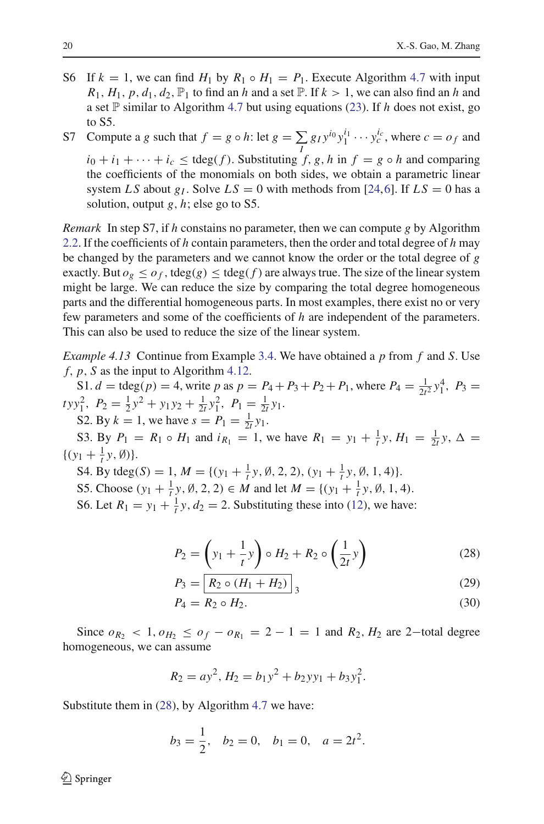- S6 If  $k = 1$ , we can find  $H_1$  by  $R_1 \circ H_1 = P_1$ . Execute Algorithm [4.7](#page-13-2) with input  $R_1$ ,  $H_1$ ,  $p$ ,  $d_1$ ,  $d_2$ ,  $\mathbb{P}_1$  to find an *h* and a set  $\mathbb{P}$ . If  $k > 1$ , we can also find an *h* and a set  $\mathbb P$  similar to Algorithm [4.7](#page-13-2) but using equations [\(23\)](#page-15-2). If *h* does not exist, go to S5.
- S7 Compute a *g* such that  $f = g \circ h$ : let  $g = \sum$  $\sum_{I} g_I y^{i_0} y_1^{i_1} \cdots y_c^{i_c}$ , where  $c = o_f$  and  $i_0 + i_1 + \cdots + i_c$  < tdeg(*f*). Substituting *f*, *g*, *h* in *f* = *g* ◦ *h* and comparing the coefficients of the monomials on both sides, we obtain a parametric linear system *LS* about  $g<sub>I</sub>$ . Solve  $LS = 0$  with methods from [\[24](#page-24-17),[6\]](#page-23-12). If  $LS = 0$  has a solution, output *g*, *h*; else go to S5.

*Remark* In step S7, if *h* constains no parameter, then we can compute *g* by Algorithm [2.2.](#page-4-1) If the coefficients of *h* contain parameters, then the order and total degree of *h* may be changed by the parameters and we cannot know the order or the total degree of *g* exactly. But  $o_g \leq o_f$ , tdeg(g)  $\leq$  tdeg(f) are always true. The size of the linear system might be large. We can reduce the size by comparing the total degree homogeneous parts and the differential homogeneous parts. In most examples, there exist no or very few parameters and some of the coefficients of *h* are independent of the parameters. This can also be used to reduce the size of the linear system.

<span id="page-19-0"></span>*Example 4.13* Continue from Example [3.4.](#page-7-0) We have obtained a *p* from *f* and *S*. Use *f*, *p*, *S* as the input to Algorithm [4.12.](#page-18-1)

S1.  $d = \text{tdeg}(p) = 4$ , write  $p$  as  $p = P_4 + P_3 + P_2 + P_1$ , where  $P_4 = \frac{1}{2t^2} y_1^4$ ,  $P_3 =$  $tyy_1^2$ ,  $P_2 = \frac{1}{2}y^2 + y_1y_2 + \frac{1}{2t}y_1^2$ ,  $P_1 = \frac{1}{2t}y_1$ . S2. By  $k = 1$ , we have  $s = P_1 = \frac{1}{2t} y_1$ .

S3. By  $P_1 = R_1 \circ H_1$  and  $i_{R_1} = 1$ , we have  $R_1 = y_1 + \frac{1}{t}y$ ,  $H_1 = \frac{1}{2t}y$ ,  $\Delta =$  $\{(y_1 + \frac{1}{t}y, \emptyset)\}.$ 

S4. By tdeg(*S*) = 1,  $M = \{(y_1 + \frac{1}{t}y, \emptyset, 2, 2), (y_1 + \frac{1}{t}y, \emptyset, 1, 4)\}.$ 

S5. Choose  $(y_1 + \frac{1}{t}y, \emptyset, 2, 2) \in M$  and let  $M = \{(y_1 + \frac{1}{t}y, \emptyset, 1, 4)$ .

S6. Let  $R_1 = y_1 + \frac{1}{t}y$ ,  $d_2 = 2$ . Substituting these into [\(12\)](#page-8-2), we have:

$$
P_2 = \left(y_1 + \frac{1}{t}y\right) \circ H_2 + R_2 \circ \left(\frac{1}{2t}y\right) \tag{28}
$$

$$
P_3 = \boxed{R_2 \circ (H_1 + H_2)}_3 \tag{29}
$$

$$
P_4 = R_2 \circ H_2. \tag{30}
$$

Since  $o_{R_2}$  < 1,  $o_{H_2}$  ≤  $o_f$  −  $o_{R_1}$  = 2 − 1 = 1 and  $R_2$ ,  $H_2$  are 2−total degree homogeneous, we can assume

$$
R_2 = ay^2, H_2 = b_1y^2 + b_2yy_1 + b_3y_1^2.
$$

Substitute them in [\(28\)](#page-16-3), by Algorithm [4.7](#page-13-2) we have:

$$
b_3 = \frac{1}{2}
$$
,  $b_2 = 0$ ,  $b_1 = 0$ ,  $a = 2t^2$ .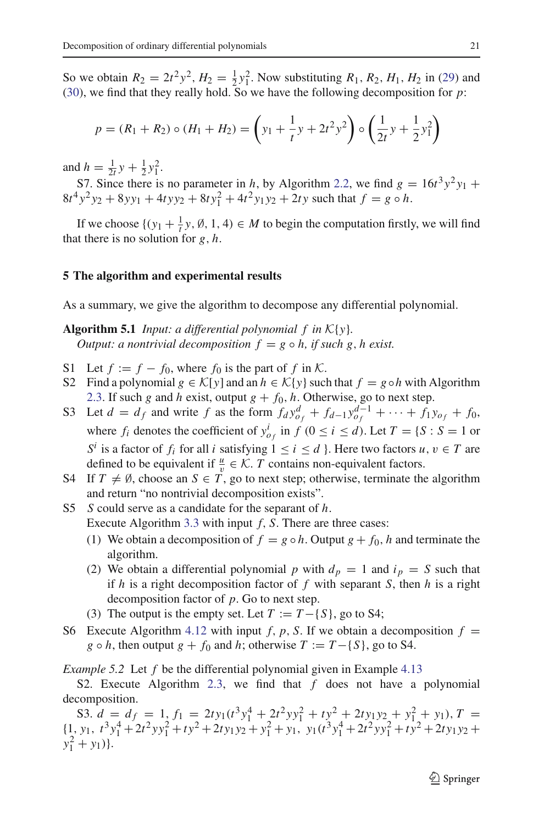So we obtain  $R_2 = 2t^2 y^2$ ,  $H_2 = \frac{1}{2}y_1^2$ . Now substituting  $R_1$ ,  $R_2$ ,  $H_1$ ,  $H_2$  in [\(29\)](#page-16-3) and [\(30\)](#page-16-3), we find that they really hold. So we have the following decomposition for *p*:

$$
p = (R_1 + R_2) \circ (H_1 + H_2) = \left(y_1 + \frac{1}{t}y + 2t^2y^2\right) \circ \left(\frac{1}{2t}y + \frac{1}{2}y_1^2\right)
$$

and  $h = \frac{1}{2t}y + \frac{1}{2}y_1^2$ .

S7. Since there is no parameter in *h*, by Algorithm [2.2,](#page-4-1) we find  $g = 16t^3y^2y_1 +$  $8t^4y^2y_2 + 8yy_1 + 4tyy_2 + 8ty_1^2 + 4t^2y_1y_2 + 2ty$  such that  $f = g \circ h$ .

If we choose  $\{(y_1 + \frac{1}{t}y, \emptyset, 1, 4) \in M \text{ to begin the computation firstly, we will find }$ that there is no solution for *g*, *h*.

## <span id="page-20-0"></span>**5 The algorithm and experimental results**

<span id="page-20-1"></span>As a summary, we give the algorithm to decompose any differential polynomial.

**Algorithm 5.1** *Input: a differential polynomial f in K*{*y*}*. Output: a nontrivial decomposition*  $f = g \circ h$ , *if such* g, *h* exist.

- S1 Let  $f := f f_0$ , where  $f_0$  is the part of f in K.
- S2 Find a polynomial  $g \in \mathcal{K}[y]$  and an  $h \in \mathcal{K}{y}$  such that  $f = g \circ h$  with Algorithm [2.3.](#page-4-2) If such *g* and *h* exist, output  $g + f_0$ , *h*. Otherwise, go to next step.
- S3 Let  $d = d_f$  and write  $f$  as the form  $f_d y_{0f}^d + f_{d-1} y_{0f}^{d-1} + \cdots + f_1 y_{0f} + f_0$ , where  $f_i$  denotes the coefficient of  $y_{o_f}^i$  in  $f$  ( $0 \le i \le d$ ). Let  $T = \{S : S = 1 \text{ or } S = 1\}$ *S<sup><i>i*</sup> is a factor of *f<sub>i</sub>* for all *i* satisfying  $1 \le i \le d$  }. Here two factors *u*,  $v \in T$  are defined to be equivalent if  $\frac{u}{v} \in \mathcal{K}$ . *T* contains non-equivalent factors.
- S4 If  $T \neq \emptyset$ , choose an  $S \in T$ , go to next step; otherwise, terminate the algorithm and return "no nontrivial decomposition exists".
- S5 *S* could serve as a candidate for the separant of *h*. Execute Algorithm [3.3](#page-6-1) with input *f*, *S*. There are three cases:
	- (1) We obtain a decomposition of  $f = g \circ h$ . Output  $g + f_0$ , *h* and terminate the algorithm.
	- (2) We obtain a differential polynomial p with  $d_p = 1$  and  $i_p = S$  such that if *h* is a right decomposition factor of *f* with separant *S*, then *h* is a right decomposition factor of *p*. Go to next step.
	- (3) The output is the empty set. Let  $T := T \{S\}$ , go to S4;
- S6 Execute Algorithm [4.12](#page-18-1) with input *f*, *p*, *S*. If we obtain a decomposition  $f =$ *g*  $\circ$  *h*, then output *g* + *f*<sub>0</sub> and *h*; otherwise *T* := *T*−{*S*}, go to S4.

*Example 5.2* Let *f* be the differential polynomial given in Example [4.13](#page-19-0)

S2. Execute Algorithm [2.3,](#page-4-2) we find that *f* does not have a polynomial decomposition.

S3.  $d = d_f = 1, f_1 = 2ty_1(t^3y_1^4 + 2t^2yy_1^2 + ty_2^2 + 2ty_1y_2 + y_1^2 + y_1), T =$  $\{1, y_1, t^3y_1^4 + 2t^2yy_1^2 + ty^2 + 2ty_1y_2 + y_1^2 + y_1, y_1(t^3y_1^4 + 2t^2yy_1^2 + ty^2 + 2ty_1y_2 + y_1^2 + y_1^2 + y_1^2 + y_1^2 + y_1^2 + y_1^2 + y_1^2 + y_1^2 + y_1^2 + y_1^2 + y_1^2 + y_1^2 + y_1^2 + y_1^2 + y_1^2 + y_1^2 + y_1^2 + y_1^2 + y_1^2 + y_1^2 + y_1^2 + y_1^2 + y$  $y_1^2 + y_1$ ).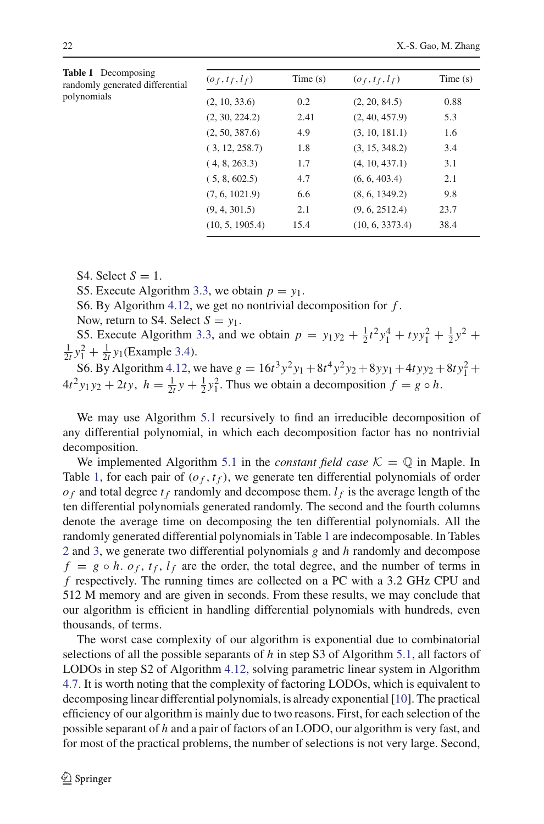<span id="page-21-0"></span>

| <b>Table 1</b> Decomposing<br>randomly generated differential<br>polynomials | $(o_f, t_f, l_f)$ | Time(s) | $(o_f, t_f, l_f)$ | Time(s) |
|------------------------------------------------------------------------------|-------------------|---------|-------------------|---------|
|                                                                              | (2, 10, 33.6)     | 0.2     | (2, 20, 84.5)     | 0.88    |
|                                                                              | (2, 30, 224.2)    | 2.41    | (2, 40, 457.9)    | 5.3     |
|                                                                              | (2, 50, 387.6)    | 4.9     | (3, 10, 181.1)    | 1.6     |
|                                                                              | (3, 12, 258.7)    | 1.8     | (3, 15, 348.2)    | 3.4     |
|                                                                              | (4, 8, 263.3)     | 1.7     | (4, 10, 437.1)    | 3.1     |
|                                                                              | (5, 8, 602.5)     | 4.7     | (6, 6, 403.4)     | 2.1     |
|                                                                              | (7, 6, 1021.9)    | 6.6     | (8, 6, 1349.2)    | 9.8     |
|                                                                              | (9, 4, 301.5)     | 2.1     | (9, 6, 2512.4)    | 23.7    |
|                                                                              | (10, 5, 1905.4)   | 15.4    | (10, 6, 3373.4)   | 38.4    |

S4. Select  $S = 1$ .

S5. Execute Algorithm [3.3,](#page-6-1) we obtain  $p = y_1$ .

S6. By Algorithm [4.12,](#page-18-1) we get no nontrivial decomposition for *f* .

Now, return to S4. Select  $S = y_1$ .

S5. Execute Algorithm [3.3,](#page-6-1) and we obtain  $p = y_1 y_2 + \frac{1}{2} t^2 y_1^4 + t y y_1^2 + \frac{1}{2} y^2 +$  $\frac{1}{2t}y_1^2 + \frac{1}{2t}y_1$  (Example [3.4\)](#page-7-0).

S6. By Algorithm [4.12,](#page-18-1) we have  $g = 16t^3y^2y_1 + 8t^4y^2y_2 + 8yy_1 + 4tyy_2 + 8ty_1^2 +$  $4t^2 y_1 y_2 + 2ty$ ,  $h = \frac{1}{2t}y + \frac{1}{2}y_1^2$ . Thus we obtain a decomposition  $f = g \circ h$ .

We may use Algorithm [5.1](#page-20-1) recursively to find an irreducible decomposition of any differential polynomial, in which each decomposition factor has no nontrivial decomposition.

We implemented Algorithm [5.1](#page-20-1) in the *constant field case*  $K = \mathbb{Q}$  in Maple. In Table [1,](#page-21-0) for each pair of  $(o_f, t_f)$ , we generate ten differential polynomials of order  $o<sub>f</sub>$  and total degree  $t<sub>f</sub>$  randomly and decompose them.  $l<sub>f</sub>$  is the average length of the ten differential polynomials generated randomly. The second and the fourth columns denote the average time on decomposing the ten differential polynomials. All the randomly generated differential polynomials in Table [1](#page-21-0) are indecomposable. In Tables [2](#page-22-0) and [3,](#page-22-1) we generate two differential polynomials *g* and *h* randomly and decompose  $f = g \circ h$ .  $o_f$ ,  $t_f$ ,  $l_f$  are the order, the total degree, and the number of terms in *f* respectively. The running times are collected on a PC with a 3.2 GHz CPU and 512 M memory and are given in seconds. From these results, we may conclude that our algorithm is efficient in handling differential polynomials with hundreds, even thousands, of terms.

The worst case complexity of our algorithm is exponential due to combinatorial selections of all the possible separants of *h* in step S3 of Algorithm [5.1,](#page-20-1) all factors of LODOs in step S2 of Algorithm [4.12,](#page-18-1) solving parametric linear system in Algorithm [4.7.](#page-13-2) It is worth noting that the complexity of factoring LODOs, which is equivalent to decomposing linear differential polynomials, is already exponential [\[10](#page-23-8)]. The practical efficiency of our algorithm is mainly due to two reasons. First, for each selection of the possible separant of *h* and a pair of factors of an LODO, our algorithm is very fast, and for most of the practical problems, the number of selections is not very large. Second,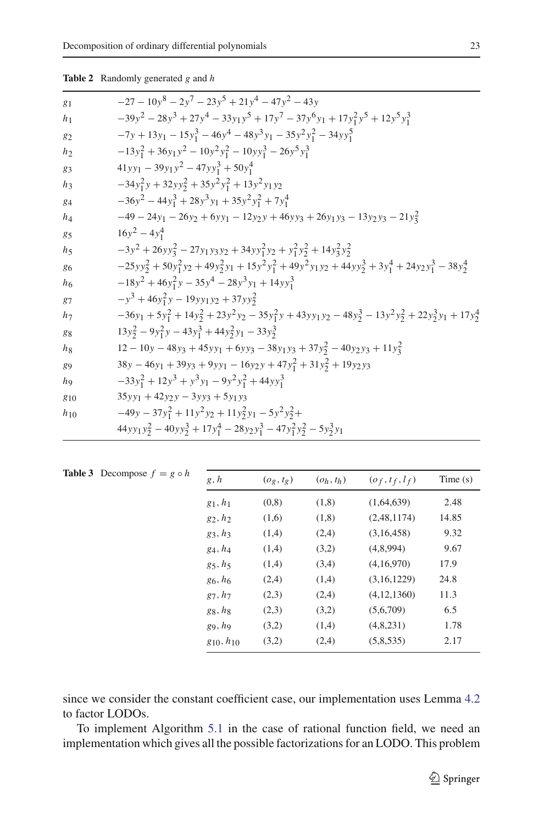<span id="page-22-0"></span>

| <b>Table 2</b> Randomly generated g and h |  |
|-------------------------------------------|--|
|                                           |  |

| $g_1$          | $-27-10y^8-2y^7-23y^5+21y^4-47y^2-43y$                                                                           |
|----------------|------------------------------------------------------------------------------------------------------------------|
| h <sub>1</sub> | $-39y^{2} - 28y^{3} + 27y^{4} - 33y_{1}y^{5} + 17y^{7} - 37y^{6}y_{1} + 17y_{1}^{2}y^{5} + 12y^{5}y_{1}^{3}$     |
| $g_2$          | $-7y + 13y_1 - 15y_1^3 - 46y_1^4 - 48y_1^3y_1 - 35y_1^2y_1^2 - 34y_1y_1^5$                                       |
| h <sub>2</sub> | $-13y_1^2 + 36y_1y^2 - 10y_1^2y_1^2 - 10y_1y_1^3 - 26y_1y_1^3$                                                   |
| $g_3$          | $41yy_1 - 39y_1y^2 - 47yy_1^3 + 50y_1^4$                                                                         |
| $h_3$          | $-34y_1^2y+32yy_2^2+35y_1^2y_1^2+13y_1y_2$                                                                       |
| 84             | $-36y^2 - 44y_1^3 + 28y^3y_1 + 35y^2y_1^2 + 7y_1^4$                                                              |
| $h_4$          | $-49 - 24y_1 - 26y_2 + 6yy_1 - 12y_2y + 46y_3 + 26y_1y_3 - 13y_2y_3 - 21y_3^2$                                   |
| 85             | $16y^2 - 4y_1^4$                                                                                                 |
| $h_5$          | $-3y^2 + 26yy_3^2 - 27y_1y_3y_2 + 34yy_1^2y_2 + y_1^2y_2^2 + 14y_3^2y_2^2$                                       |
| 86             | $-25yy_2^2 + 50y_1^2y_2 + 49y_2^2y_1 + 15y_2^2y_1^2 + 49y_2^2y_1y_2 + 44yy_2^3 + 3y_1^4 + 24y_2y_1^3 - 38y_2^4$  |
| h <sub>6</sub> | $-18y^{2} + 46y_{1}^{2}y - 35y^{4} - 28y^{3}y_{1} + 14y^{3}y_{1}^{3}$                                            |
| 87             | $-y^3 + 46y_1^2y - 19yy_1y_2 + 37yy_2^2$                                                                         |
| $h_7$          | $-36y_1 + 5y_1^2 + 14y_2^2 + 23y_1^2y_2 - 35y_1^2y_1 + 43y_1y_2 - 48y_2^3 - 13y_1^2y_2^2 + 22y_2^3y_1 + 17y_2^4$ |
| 88             | $13y_2^2 - 9y_1^2y - 43y_1^3 + 44y_2^2y_1 - 33y_2^3$                                                             |
| h <sub>8</sub> | $12-10y-48y_3+45y_1+6y_3-38y_1y_3+37y_2^2-40y_2y_3+11y_3^2$                                                      |
| 89             | $38y - 46y_1 + 39y_3 + 9y_1 - 16y_2y + 47y_1^2 + 31y_2^2 + 19y_2y_3$                                             |
| ho             | $-33y_1^2 + 12y^3 + y^3y_1 - 9y^2y_1^2 + 44yy_1^3$                                                               |
| $g_{10}$       | $35yy_1 + 42y_2y - 3yy_2 + 5y_1y_3$                                                                              |
| $h_{10}$       | $-49y - 37y_1^2 + 11y_1^2y_2 + 11y_2^2y_1 - 5y_1^2y_2^2 +$                                                       |
|                | $44yy_1y_2^2 - 40yy_2^3 + 17y_1^4 - 28y_2y_1^3 - 47y_1^2y_2^2 - 5y_2^3y_1$                                       |

<span id="page-22-1"></span>

| <b>Table 3</b> Decompose $f = g \circ h$ | g, h             | $(o_g, t_g)$ | $(o_h, t_h)$ | $(o_f, t_f, l_f)$ | Time $(s)$ |
|------------------------------------------|------------------|--------------|--------------|-------------------|------------|
|                                          | $g_1, h_1$       | (0, 8)       | (1,8)        | (1,64,639)        | 2.48       |
|                                          | $g_2, h_2$       | (1,6)        | (1,8)        | (2,48,1174)       | 14.85      |
|                                          | $g_3, h_3$       | (1,4)        | (2,4)        | (3,16,458)        | 9.32       |
|                                          | $g_4, h_4$       | (1,4)        | (3,2)        | (4,8,994)         | 9.67       |
|                                          | $g_5, h_5$       | (1,4)        | (3,4)        | (4,16,970)        | 17.9       |
|                                          | $g_6, h_6$       | (2,4)        | (1,4)        | (3,16,1229)       | 24.8       |
|                                          | $g_7, h_7$       | (2,3)        | (2,4)        | (4, 12, 1360)     | 11.3       |
|                                          | $g_8, h_8$       | (2,3)        | (3,2)        | (5,6,709)         | 6.5        |
|                                          | $g_9, h_9$       | (3,2)        | (1,4)        | (4,8,231)         | 1.78       |
|                                          | $g_{10}, h_{10}$ | (3,2)        | (2,4)        | (5,8,535)         | 2.17       |
|                                          |                  |              |              |                   |            |

since we consider the constant coefficient case, our implementation uses Lemma [4.2](#page-9-1) to factor LODOs.

To implement Algorithm [5.1](#page-20-1) in the case of rational function field, we need an implementation which gives all the possible factorizations for an LODO. This problem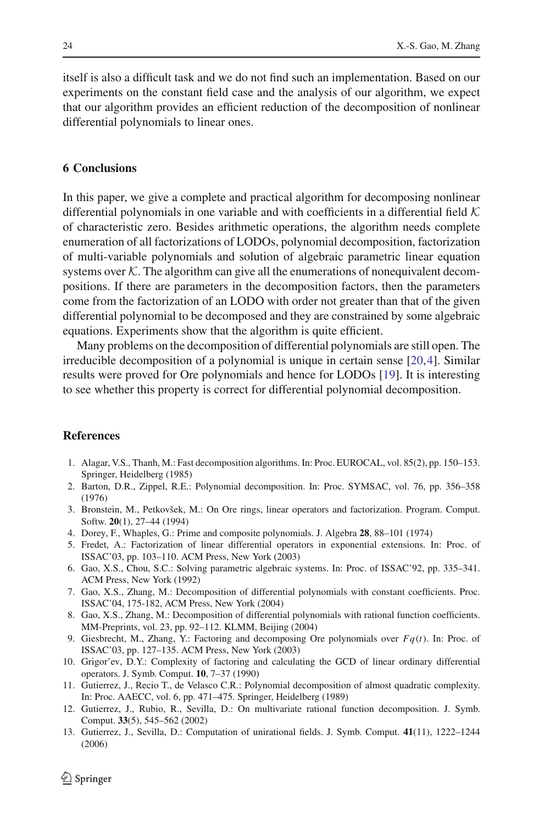itself is also a difficult task and we do not find such an implementation. Based on our experiments on the constant field case and the analysis of our algorithm, we expect that our algorithm provides an efficient reduction of the decomposition of nonlinear differential polynomials to linear ones.

#### <span id="page-23-10"></span>**6 Conclusions**

In this paper, we give a complete and practical algorithm for decomposing nonlinear differential polynomials in one variable and with coefficients in a differential field *K* of characteristic zero. Besides arithmetic operations, the algorithm needs complete enumeration of all factorizations of LODOs, polynomial decomposition, factorization of multi-variable polynomials and solution of algebraic parametric linear equation systems over  $K$ . The algorithm can give all the enumerations of nonequivalent decompositions. If there are parameters in the decomposition factors, then the parameters come from the factorization of an LODO with order not greater than that of the given differential polynomial to be decomposed and they are constrained by some algebraic equations. Experiments show that the algorithm is quite efficient.

Many problems on the decomposition of differential polynomials are still open. The irreducible decomposition of a polynomial is unique in certain sense [\[20](#page-24-19)[,4](#page-23-13)]. Similar results were proved for Ore polynomials and hence for LODOs [\[19\]](#page-24-20). It is interesting to see whether this property is correct for differential polynomial decomposition.

# <span id="page-23-1"></span>**References**

- 1. Alagar, V.S., Thanh, M.: Fast decomposition algorithms. In: Proc. EUROCAL, vol. 85(2), pp. 150–153. Springer, Heidelberg (1985)
- <span id="page-23-0"></span>2. Barton, D.R., Zippel, R.E.: Polynomial decomposition. In: Proc. SYMSAC, vol. 76, pp. 356–358 (1976)
- <span id="page-23-5"></span>3. Bronstein, M., Petkovšek, M.: On Ore rings, linear operators and factorization. Program. Comput. Softw. **20**(1), 27–44 (1994)
- <span id="page-23-13"></span>4. Dorey, F., Whaples, G.: Prime and composite polynomials. J. Algebra **28**, 88–101 (1974)
- <span id="page-23-6"></span>5. Fredet, A.: Factorization of linear differential operators in exponential extensions. In: Proc. of ISSAC'03, pp. 103–110. ACM Press, New York (2003)
- <span id="page-23-12"></span>6. Gao, X.S., Chou, S.C.: Solving parametric algebraic systems. In: Proc. of ISSAC'92, pp. 335–341. ACM Press, New York (1992)
- <span id="page-23-9"></span>7. Gao, X.S., Zhang, M.: Decomposition of differential polynomials with constant coefficients. Proc. ISSAC'04, 175-182, ACM Press, New York (2004)
- <span id="page-23-11"></span>8. Gao, X.S., Zhang, M.: Decomposition of differential polynomials with rational function coefficients. MM-Preprints, vol. 23, pp. 92–112. KLMM, Beijing (2004)
- <span id="page-23-7"></span>9. Giesbrecht, M., Zhang, Y.: Factoring and decomposing Ore polynomials over *Fq*(*t*). In: Proc. of ISSAC'03, pp. 127–135. ACM Press, New York (2003)
- <span id="page-23-8"></span>10. Grigor'ev, D.Y.: Complexity of factoring and calculating the GCD of linear ordinary differential operators. J. Symb. Comput. **10**, 7–37 (1990)
- <span id="page-23-2"></span>11. Gutierrez, J., Recio T., de Velasco C.R.: Polynomial decomposition of almost quadratic complexity. In: Proc. AAECC, vol. 6, pp. 471–475. Springer, Heidelberg (1989)
- <span id="page-23-3"></span>12. Gutierrez, J., Rubio, R., Sevilla, D.: On multivariate rational function decomposition. J. Symb. Comput. **33**(5), 545–562 (2002)
- <span id="page-23-4"></span>13. Gutierrez, J., Sevilla, D.: Computation of unirational fields. J. Symb. Comput. **41**(11), 1222–1244 (2006)